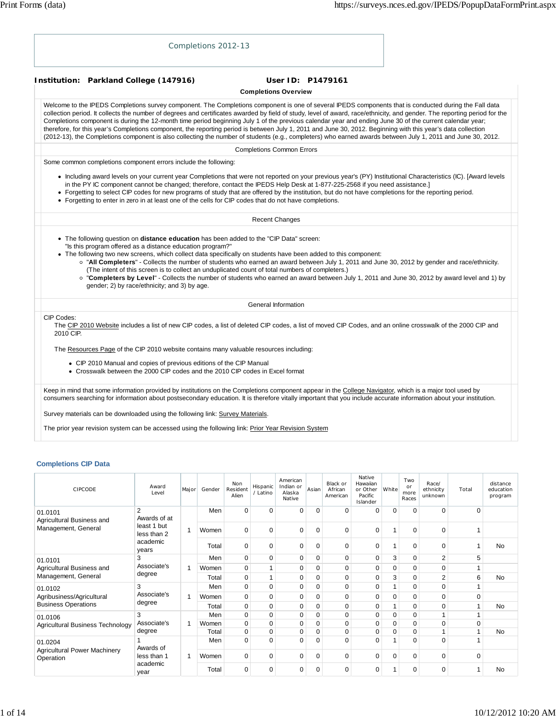|                         | Completions 2012-13                                                                                                                                                                                                                                                                                                                                                                                                                                                                                                                                                                                                                                                                                                                                                                                                            |                                                  |  |
|-------------------------|--------------------------------------------------------------------------------------------------------------------------------------------------------------------------------------------------------------------------------------------------------------------------------------------------------------------------------------------------------------------------------------------------------------------------------------------------------------------------------------------------------------------------------------------------------------------------------------------------------------------------------------------------------------------------------------------------------------------------------------------------------------------------------------------------------------------------------|--------------------------------------------------|--|
|                         | Institution: Parkland College (147916)                                                                                                                                                                                                                                                                                                                                                                                                                                                                                                                                                                                                                                                                                                                                                                                         | User ID: P1479161<br><b>Completions Overview</b> |  |
|                         |                                                                                                                                                                                                                                                                                                                                                                                                                                                                                                                                                                                                                                                                                                                                                                                                                                |                                                  |  |
|                         | Welcome to the IPEDS Completions survey component. The Completions component is one of several IPEDS components that is conducted during the Fall data<br>collection period. It collects the number of degrees and certificates awarded by field of study, level of award, race/ethnicity, and gender. The reporting period for the<br>Completions component is during the 12-month time period beginning July 1 of the previous calendar year and ending June 30 of the current calendar year;<br>therefore, for this year's Completions component, the reporting period is between July 1, 2011 and June 30, 2012. Beginning with this year's data collection<br>(2012-13), the Completions component is also collecting the number of students (e.g., completers) who earned awards between July 1, 2011 and June 30, 2012. |                                                  |  |
|                         |                                                                                                                                                                                                                                                                                                                                                                                                                                                                                                                                                                                                                                                                                                                                                                                                                                | <b>Completions Common Errors</b>                 |  |
|                         | Some common completions component errors include the following:                                                                                                                                                                                                                                                                                                                                                                                                                                                                                                                                                                                                                                                                                                                                                                |                                                  |  |
|                         | • Including award levels on your current year Completions that were not reported on your previous year's (PY) Institutional Characteristics (IC). [Award levels<br>in the PY IC component cannot be changed; therefore, contact the IPEDS Help Desk at 1-877-225-2568 if you need assistance.]<br>• Forgetting to select CIP codes for new programs of study that are offered by the institution, but do not have completions for the reporting period.<br>• Forgetting to enter in zero in at least one of the cells for CIP codes that do not have completions.                                                                                                                                                                                                                                                              |                                                  |  |
|                         |                                                                                                                                                                                                                                                                                                                                                                                                                                                                                                                                                                                                                                                                                                                                                                                                                                | <b>Recent Changes</b>                            |  |
|                         | • The following question on <b>distance education</b> has been added to the "CIP Data" screen:<br>"Is this program offered as a distance education program?"<br>• The following two new screens, which collect data specifically on students have been added to this component:<br>o "All Completers" - Collects the number of students who earned an award between July 1, 2011 and June 30, 2012 by gender and race/ethnicity.<br>(The intent of this screen is to collect an unduplicated count of total numbers of completers.)<br>o "Completers by Level" - Collects the number of students who earned an award between July 1, 2011 and June 30, 2012 by award level and 1) by<br>gender; 2) by race/ethnicity; and 3) by age.                                                                                           |                                                  |  |
|                         |                                                                                                                                                                                                                                                                                                                                                                                                                                                                                                                                                                                                                                                                                                                                                                                                                                | General Information                              |  |
| CIP Codes:<br>2010 CIP. | The CIP 2010 Website includes a list of new CIP codes, a list of deleted CIP codes, a list of moved CIP Codes, and an online crosswalk of the 2000 CIP and                                                                                                                                                                                                                                                                                                                                                                                                                                                                                                                                                                                                                                                                     |                                                  |  |
|                         | The Resources Page of the CIP 2010 website contains many valuable resources including:                                                                                                                                                                                                                                                                                                                                                                                                                                                                                                                                                                                                                                                                                                                                         |                                                  |  |
|                         | • CIP 2010 Manual and copies of previous editions of the CIP Manual<br>• Crosswalk between the 2000 CIP codes and the 2010 CIP codes in Excel format                                                                                                                                                                                                                                                                                                                                                                                                                                                                                                                                                                                                                                                                           |                                                  |  |
|                         | Keep in mind that some information provided by institutions on the Completions component appear in the College Navigator, which is a major tool used by<br>consumers searching for information about postsecondary education. It is therefore vitally important that you include accurate information about your institution.<br>Survey materials can be downloaded using the following link: Survey Materials.                                                                                                                                                                                                                                                                                                                                                                                                                |                                                  |  |

The prior year revision system can be accessed using the following link: Prior Year Revision System

# **Completions CIP Data**

| <b>CIPCODE</b>                                   | Award<br>I evel                | Major | Gender | Non<br>Resident<br>Alien | Hispanic<br>/ Latino | American<br>Indian or<br>Alaska<br>Native | Asian       | Black or<br>African<br>American | Native<br>Hawaiian<br>or Other<br>Pacific<br>Islander | White    | Two<br>or<br>more<br>Races | Race/<br>ethnicity<br>unknown | Total       | distance<br>education<br>program |   |             |   |   |   |             |   |  |
|--------------------------------------------------|--------------------------------|-------|--------|--------------------------|----------------------|-------------------------------------------|-------------|---------------------------------|-------------------------------------------------------|----------|----------------------------|-------------------------------|-------------|----------------------------------|---|-------------|---|---|---|-------------|---|--|
| 01.0101<br>Agricultural Business and             | $\overline{2}$<br>Awards of at |       | Men    | $\Omega$                 | 0                    | $\Omega$                                  | 0           | $\Omega$                        | $\Omega$                                              | $\Omega$ | $\Omega$                   | $\Omega$                      | $\Omega$    |                                  |   |             |   |   |   |             |   |  |
| Management, General                              | least 1 but<br>less than 2     |       | Women  | $\mathbf 0$              | $\mathbf 0$          | $\mathbf 0$                               | 0           | $\mathbf 0$                     | 0                                                     | 1        | $\mathbf 0$                | $\mathbf 0$                   | 1           |                                  |   |             |   |   |   |             |   |  |
|                                                  | academic<br>years              |       | Total  | $\mathbf 0$              | 0                    | 0                                         | 0           | 0                               | 0                                                     | 1        | 0                          | 0                             | 1           | <b>No</b>                        |   |             |   |   |   |             |   |  |
| 01.0101                                          | 3                              |       | Men    | 0                        | $\mathbf 0$          | $\mathbf 0$                               | 0           | $\mathbf 0$                     | 0                                                     | 3        | $\mathbf 0$                | 2                             | 5           |                                  |   |             |   |   |   |             |   |  |
| Agricultural Business and                        | Associate's                    | 1     | Women  | $\mathbf 0$              | $\overline{1}$       | $\mathbf 0$                               | 0           | $\pmb{0}$                       | 0                                                     | 0        | $\mathbf 0$                | $\mathbf 0$                   | 1           |                                  |   |             |   |   |   |             |   |  |
| Management, General                              | degree                         |       | Total  | 0                        | 1                    | $\mathbf 0$                               | $\Omega$    | $\mathbf 0$                     | $\Omega$                                              | 3        | $\Omega$                   | $\overline{2}$                | 6           | <b>No</b>                        |   |             |   |   |   |             |   |  |
| 01.0102                                          | 3                              |       | Men    | 0                        | $\mathbf 0$          | $\mathbf 0$                               | $\mathbf 0$ | $\pmb{0}$                       | $\overline{0}$                                        | 1        | $\mathbf 0$                | $\mathbf 0$                   | 1           |                                  |   |             |   |   |   |             |   |  |
| Agribusiness/Agricultural                        | Associate's                    | 4     | Women  | $\overline{0}$           | $\mathbf 0$          | $\mathbf 0$                               | 0           | $\pmb{0}$                       | 0                                                     | 0        | $\mathbf 0$                | $\mathbf 0$                   | 0           |                                  |   |             |   |   |   |             |   |  |
| <b>Business Operations</b>                       | degree                         |       | Total  | 0                        | $\mathbf 0$          | $\mathbf 0$                               | 0           | 0                               | $\mathbf 0$                                           | 1        | 0                          | 0                             | 1           | <b>No</b>                        |   |             |   |   |   |             |   |  |
| 01.0106                                          | 3                              |       | Men    | $\mathbf 0$              | $\mathbf 0$          | $\mathbf 0$                               | 0           | $\mathbf 0$                     | 0                                                     | 0        | 0                          |                               | 1           |                                  |   |             |   |   |   |             |   |  |
| Agricultural Business Technology                 | Associate's                    | 1     |        |                          |                      |                                           |             |                                 |                                                       |          | Women                      | 0                             | $\mathbf 0$ | $\mathbf 0$                      | 0 | $\mathbf 0$ | 0 | 0 | 0 | $\mathbf 0$ | 0 |  |
|                                                  | degree                         |       | Total  | 0                        | $\mathbf 0$          | $\mathbf 0$                               | 0           | $\mathbf 0$                     | 0                                                     | 0        | 0                          |                               | 1           | <b>No</b>                        |   |             |   |   |   |             |   |  |
| 01.0204                                          | Awards of                      |       | Men    | $\Omega$                 | $\Omega$             | $\Omega$                                  | $\mathbf 0$ | $\mathbf 0$                     | $\Omega$                                              | 1        | $\Omega$                   | $\Omega$                      | 1           |                                  |   |             |   |   |   |             |   |  |
| <b>Agricultural Power Machinery</b><br>Operation | less than 1<br>academic        | 1     | Women  | $\mathbf 0$              | $\mathbf 0$          | $\Omega$                                  | $\mathbf 0$ | $\mathbf 0$                     | $\Omega$                                              | $\Omega$ | $\Omega$                   | $\Omega$                      | 0           |                                  |   |             |   |   |   |             |   |  |
|                                                  | year                           |       | Total  | $\Omega$                 | $\mathbf 0$          | 0                                         | $\mathbf 0$ | $\mathbf 0$                     | $\mathbf 0$                                           | 1        | $\Omega$                   | $\Omega$                      | 1           | <b>No</b>                        |   |             |   |   |   |             |   |  |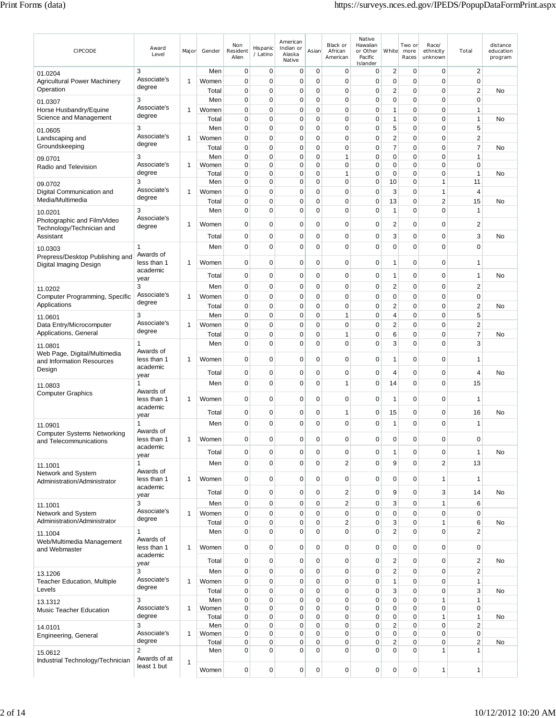| CIPCODE                                            | Award<br>Level                 | Major        | Gender       | Non<br>Resident<br>Alien | Hispanic<br>/ Latino | American<br>Indian or<br>Alaska<br>Native | Asian                      | Black or<br>African<br>American | Native<br>Hawaiian<br>or Other<br>Pacific<br>Islander | White                   | Two or<br>more<br>Races | Race/<br>ethnicity<br>unknown | Total          | distance<br>education<br>program |
|----------------------------------------------------|--------------------------------|--------------|--------------|--------------------------|----------------------|-------------------------------------------|----------------------------|---------------------------------|-------------------------------------------------------|-------------------------|-------------------------|-------------------------------|----------------|----------------------------------|
| 01.0204                                            | 3                              |              | Men          | 0                        | 0                    | 0                                         | 0                          | 0                               | 0                                                     | $\overline{2}$          | 0                       | 0                             | $\overline{2}$ |                                  |
| <b>Agricultural Power Machinery</b>                | Associate's                    | 1            | Women        | 0                        | 0                    | $\mathbf 0$                               | $\mathbf 0$                | 0                               | $\mathbf 0$                                           | 0                       | $\mathbf 0$             | 0                             | $\mathbf 0$    |                                  |
| Operation                                          | degree                         |              | Total        | 0                        | 0                    | $\mathbf 0$                               | $\mathbf 0$                | 0                               | $\mathbf 0$                                           | $\overline{2}$          | $\mathbf 0$             | $\mathbf 0$                   | $\overline{2}$ | No                               |
| 01.0307                                            | 3                              |              | Men          | 0                        | $\mathbf 0$          | $\mathbf 0$                               | $\mathbf 0$                | $\mathbf 0$                     | $\mathbf 0$                                           | $\mathbf 0$             | $\mathbf 0$             | $\mathbf 0$                   | $\mathbf 0$    |                                  |
| Horse Husbandry/Equine                             | Associate's                    | 1            | Women        | 0                        | 0                    | $\mathbf 0$                               | $\mathbf 0$                | 0                               | $\mathbf 0$                                           | $\mathbf{1}$            | $\mathbf 0$             | 0                             | 1              |                                  |
| Science and Management                             | degree                         |              | Total        | 0                        | 0                    | $\mathbf 0$                               | $\mathbf 0$                | 0                               | $\mathbf 0$                                           | 1                       | $\mathbf 0$             | 0                             | 1              | No                               |
| 01.0605                                            | 3                              |              | Men          | 0                        | $\mathbf 0$          | $\mathbf 0$                               | $\pmb{0}$                  | $\mathbf 0$                     | $\mathbf 0$                                           | 5                       | $\pmb{0}$               | $\mathbf 0$                   | 5              |                                  |
| Landscaping and                                    | Associate's<br>degree          | 1            | Women        | 0                        | $\mathbf 0$          | 0                                         | 0                          | 0                               | 0                                                     | 2                       | $\mathbf 0$             | 0                             | 2              |                                  |
| Groundskeeping                                     |                                |              | Total        | 0                        | $\mathbf 0$          | 0                                         | $\mathbf 0$                | 0                               | $\mathbf 0$                                           | $\overline{7}$          | $\mathbf 0$             | 0                             | $\overline{7}$ | No                               |
| 09.0701                                            | 3                              |              | Men          | 0                        | $\mathbf 0$          | $\mathbf 0$                               | $\mathbf 0$                | 1                               | $\mathbf 0$                                           | $\mathbf 0$             | $\mathbf 0$             | $\mathbf 0$                   | $\mathbf{1}$   |                                  |
| Radio and Television                               | Associate's                    | 1            | Women        | 0                        | $\mathbf 0$          | $\mathbf 0$                               | $\mathbf 0$                | 0                               | 0                                                     | $\mathbf 0$             | 0                       | $\mathbf 0$                   | $\mathbf 0$    |                                  |
|                                                    | degree<br>3                    |              | Total<br>Men | 0<br>0                   | 0<br>0               | 0<br>$\mathbf 0$                          | $\mathbf 0$<br>$\mathbf 0$ | 1<br>0                          | 0<br>0                                                | $\mathbf 0$<br>10       | 0<br>$\mathbf 0$        | 0<br>1                        | 1<br>11        | No                               |
| 09.0702                                            | Associate's                    |              |              |                          |                      |                                           |                            |                                 |                                                       |                         |                         |                               |                |                                  |
| Digital Communication and<br>Media/Multimedia      | degree                         | 1            | Women        | 0                        | $\mathbf 0$          | $\mathbf 0$                               | $\mathbf 0$                | 0                               | $\mathbf 0$                                           | 3                       | $\mathbf 0$             | 1                             | $\overline{4}$ |                                  |
|                                                    |                                |              | Total        | $\mathbf 0$              | 0                    | $\mathbf 0$                               | $\mathbf 0$                | 0                               | $\mathbf 0$                                           | 13                      | $\mathbf 0$             | $\overline{2}$                | 15             | No                               |
| 10.0201                                            | 3<br>Associate's               |              | Men          | 0                        | $\mathbf 0$          | $\mathbf 0$                               | $\mathbf 0$                | $\mathbf 0$                     | $\mathbf 0$                                           | 1                       | $\mathbf 0$             | 0                             | $\mathbf{1}$   |                                  |
| Photographic and Film/Video                        | degree                         | 1            | Women        | 0                        | $\mathbf 0$          | $\mathbf 0$                               | $\mathbf 0$                | $\mathbf 0$                     | $\mathbf 0$                                           | 2                       | $\mathbf 0$             | 0                             | $\overline{2}$ |                                  |
| Technology/Technician and<br>Assistant             |                                |              | Total        | 0                        | 0                    | 0                                         | $\mathbf 0$                | 0                               | 0                                                     | 3                       | $\mathbf 0$             | 0                             | 3              | No                               |
|                                                    |                                |              |              |                          |                      |                                           |                            |                                 |                                                       |                         |                         |                               |                |                                  |
| 10.0303                                            | 1<br>Awards of                 |              | Men          | 0                        | $\mathbf 0$          | $\mathbf 0$                               | $\mathbf 0$                | $\mathbf 0$                     | $\mathbf 0$                                           | 0                       | $\mathbf 0$             | $\mathbf 0$                   | $\overline{0}$ |                                  |
| Prepress/Desktop Publishing and                    | less than 1<br>1<br>academic   | Women        | 0            | 0                        | $\mathbf 0$          | $\mathbf 0$                               | 0                          | $\mathbf 0$                     | 1                                                     | $\mathbf 0$             | 0                       | 1                             |                |                                  |
| Digital Imaging Design                             | year                           |              |              |                          |                      |                                           |                            |                                 |                                                       |                         |                         |                               |                |                                  |
|                                                    | 3                              | Total        | 0            | 0                        | 0                    | $\mathbf 0$                               | 0                          | 0                               | 1                                                     | 0                       | 0                       | 1                             | No             |                                  |
| 11.0202                                            |                                |              | Men          | 0                        | 0                    | 0                                         | $\mathbf 0$                | 0                               | 0                                                     | 2                       | $\mathbf 0$             | 0                             | $\overline{2}$ |                                  |
| Computer Programming, Specific                     | Associate's<br>1<br>degree     | Women        | 0            | 0                        | $\mathbf 0$          | $\mathbf 0$                               | 0                          | $\mathbf 0$                     | $\mathbf 0$                                           | $\mathbf 0$             | 0                       | $\mathbf 0$                   |                |                                  |
| Applications                                       |                                |              | Total        | 0                        | $\mathbf 0$          | $\mathbf 0$                               | $\mathbf 0$                | $\mathbf 0$                     | $\mathbf 0$                                           | $\overline{2}$          | $\mathbf 0$             | 0                             | $\overline{c}$ | No                               |
| 11.0601                                            | 3                              |              | Men          | 0                        | 0                    | $\mathbf 0$                               | $\mathbf 0$                | 1                               | $\mathbf 0$                                           | 4                       | $\mathbf 0$             | 0                             | 5              |                                  |
| Data Entry/Microcomputer                           | Associate's                    | 1            | Women        | 0                        | $\mathbf 0$          | $\mathbf 0$                               | $\mathbf 0$                | 0                               | $\mathbf 0$                                           | $\overline{2}$          | $\mathbf 0$             | $\mathbf 0$                   | $\overline{2}$ |                                  |
| Applications, General                              | degree                         |              | Total        | 0                        | 0                    | $\mathbf 0$                               | $\mathbf 0$                | $\mathbf{1}$                    | $\mathbf 0$                                           | 6                       | $\mathbf 0$             | $\mathbf 0$                   | $\overline{7}$ | No                               |
| 11.0801                                            | 1                              |              | Men          | 0                        | $\mathbf 0$          | $\mathbf 0$                               | $\mathbf 0$                | 0                               | $\Omega$                                              | 3                       | $\mathbf 0$             | 0                             | 3              |                                  |
| Web Page, Digital/Multimedia                       | Awards of                      |              |              |                          |                      |                                           |                            |                                 |                                                       |                         |                         |                               |                |                                  |
| and Information Resources                          | less than 1                    | 1            | Women        | 0                        | 0                    | $\mathbf 0$                               | $\mathbf 0$                | 0                               | 0                                                     | 1                       | $\mathbf 0$             | 0                             | 1              |                                  |
| Design                                             | academic                       |              | Total        | 0                        | 0                    | $\mathbf 0$                               | $\mathbf 0$                | 0                               | $\mathbf 0$                                           | 4                       | $\mathbf 0$             | 0                             | 4              | No                               |
|                                                    | year                           |              |              |                          |                      |                                           |                            |                                 |                                                       |                         |                         |                               |                |                                  |
| 11.0803                                            | 1<br>Awards of                 |              | Men          | 0                        | $\mathbf 0$          | $\mathbf 0$                               | $\mathbf 0$                | $\mathbf{1}$                    | $\mathbf 0$                                           | 14                      | $\mathbf 0$             | 0                             | 15             |                                  |
| <b>Computer Graphics</b>                           | less than 1                    | 1            | Women        | 0                        | 0                    | 0                                         | $\mathbf 0$                | 0                               | $\mathbf 0$                                           | 1                       | $\mathbf 0$             | 0                             | $\mathbf{1}$   |                                  |
|                                                    | academic                       |              |              |                          |                      |                                           |                            |                                 |                                                       |                         |                         |                               |                |                                  |
|                                                    | year                           |              | Total        | 0                        | 0                    | 0                                         | $\mathbf 0$                | 1                               | 0                                                     | 15                      | 0                       | 0                             | 16             | No                               |
| 11.0901                                            | 1                              |              | Men          | 0                        | $\mathbf 0$          | $\mathbf 0$                               | $\mathbf 0$                | $\mathbf 0$                     | $\mathbf 0$                                           | $\mathbf{1}$            | $\mathbf 0$             | $\mathbf 0$                   | 1              |                                  |
| <b>Computer Systems Networking</b>                 | Awards of                      |              |              |                          |                      |                                           |                            |                                 |                                                       |                         |                         |                               |                |                                  |
| and Telecommunications                             | less than 1                    | $\mathbf{1}$ | Women        | 0                        | 0                    | 0                                         | 0                          | 0                               | 0                                                     | 0                       | 0                       | 0                             | 0              |                                  |
|                                                    | academic<br>year               |              | Total        | 0                        | 0                    | $\mathbf 0$                               | $\mathbf 0$                | 0                               | $\mathbf 0$                                           | 1                       | $\mathbf 0$             | 0                             | $\mathbf{1}$   | No                               |
|                                                    | 1                              |              | Men          | 0                        | $\mathbf 0$          | $\mathbf 0$                               | $\mathbf 0$                | $\overline{2}$                  | $\mathbf 0$                                           | 9                       | $\mathbf 0$             | $\overline{2}$                | 13             |                                  |
| 11.1001<br>Network and System                      | Awards of                      |              |              |                          |                      |                                           |                            |                                 |                                                       |                         |                         |                               |                |                                  |
| Administration/Administrator                       | less than 1                    | 1            | Women        | 0                        | $\mathbf 0$          | $\mathbf 0$                               | $\pmb{0}$                  | $\mathbf 0$                     | $\pmb{0}$                                             | 0                       | $\mathbf 0$             | 1                             | $\mathbf{1}$   |                                  |
|                                                    | academic                       |              | Total        | $\pmb{0}$                | $\mathbf 0$          | $\mathbf 0$                               | $\pmb{0}$                  | $\overline{c}$                  | $\mathbf 0$                                           | 9                       | $\pmb{0}$               | 3                             | 14             | <b>No</b>                        |
|                                                    | year                           |              |              |                          |                      |                                           |                            |                                 |                                                       |                         |                         |                               |                |                                  |
| 11.1001                                            | 3<br>Associate's               |              | Men          | $\pmb{0}$                | $\mathbf 0$          | $\mathbf 0$                               | $\pmb{0}$                  | $\overline{c}$                  | $\mathbf 0$                                           | 3                       | $\pmb{0}$               | 1                             | 6              |                                  |
| Network and System<br>Administration/Administrator | degree                         | 1            | Women        | 0                        | $\mathbf 0$          | $\mathbf 0$                               | $\pmb{0}$                  | 0                               | 0                                                     | 0                       | $\mathbf 0$             | 0                             | $\mathbf 0$    |                                  |
|                                                    |                                |              | Total        | 0                        | $\mathbf 0$          | $\mathbf 0$                               | $\pmb{0}$                  | $\overline{c}$                  | $\pmb{0}$                                             | 3                       | $\pmb{0}$               | 1                             | 6              | No                               |
| 11.1004                                            | 1<br>Awards of                 |              | Men          | $\overline{0}$           | $\mathbf 0$          | $\mathbf 0$                               | $\mathbf 0$                | $\mathbf 0$                     | $\mathbf 0$                                           | $\overline{2}$          | $\mathbf 0$             | 0                             | $\overline{2}$ |                                  |
| Web/Multimedia Management                          | less than 1                    | 1            | Women        | 0                        | $\mathbf 0$          | 0                                         | $\pmb{0}$                  | 0                               | $\mathbf 0$                                           | 0                       | $\mathbf 0$             | 0                             | $\mathbf 0$    |                                  |
| and Webmaster                                      | academic                       |              |              |                          |                      |                                           |                            |                                 |                                                       |                         |                         |                               |                |                                  |
|                                                    | year                           |              | Total        | $\pmb{0}$                | $\mathbf 0$          | $\mathbf 0$                               | $\pmb{0}$                  | $\mathbf 0$                     | $\pmb{0}$                                             | $\overline{c}$          | $\mathbf 0$             | $\mathbf 0$                   | $\sqrt{2}$     | No                               |
| 13.1206                                            | 3                              |              | Men          | $\pmb{0}$                | $\mathbf 0$          | $\pmb{0}$                                 | $\pmb{0}$                  | $\mathbf 0$                     | $\pmb{0}$                                             | $\overline{2}$          | $\pmb{0}$               | $\mathbf 0$                   | $\mathbf 2$    |                                  |
| <b>Teacher Education, Multiple</b>                 | Associate's                    | $\mathbf{1}$ | Women        | 0                        | $\mathbf 0$          | $\mathbf 0$                               | $\pmb{0}$                  | 0                               | $\mathbf 0$                                           | $\mathbf{1}$            | $\mathbf 0$             | 0                             | $\mathbf{1}$   |                                  |
| Levels                                             | degree                         |              | Total        | 0                        | $\mathbf 0$          | $\mathbf 0$                               | $\pmb{0}$                  | $\mathbf 0$                     | $\mathbf 0$                                           | 3                       | $\pmb{0}$               | $\overline{0}$                | 3              | No                               |
| 13.1312                                            | 3                              |              | Men          | 0                        | $\mathbf 0$          | $\mathbf 0$                               | $\pmb{0}$                  | 0                               | $\mathbf 0$                                           | 0                       | $\mathbf 0$             | 1                             | 1              |                                  |
| Music Teacher Education                            | Associate's                    | 1            | Women        | 0                        | $\mathbf 0$          | $\mathbf 0$                               | $\pmb{0}$                  | 0                               | $\mathbf 0$                                           | 0                       | $\pmb{0}$               | 0                             | $\pmb{0}$      |                                  |
|                                                    | degree                         |              | Total        | 0                        | $\mathbf 0$          | 0                                         | $\pmb{0}$                  | 0                               | $\mathbf 0$                                           | 0                       | $\mathbf 0$             | 1                             | $\mathbf{1}$   | No                               |
| 14.0101                                            | 3                              |              | Men          | 0                        | $\mathbf 0$          | $\pmb{0}$                                 | $\pmb{0}$                  | 0                               | $\mathbf 0$                                           | $\overline{\mathbf{c}}$ | $\pmb{0}$               | 0                             | $\overline{2}$ |                                  |
| Engineering, General                               | Associate's                    | 1            | Women        | 0                        | $\mathbf 0$          | $\mathbf 0$                               | $\mathbf 0$                | 0                               | $\mathbf 0$                                           | 0                       | $\mathbf 0$             | 0                             | $\pmb{0}$      |                                  |
|                                                    | degree                         |              | Total        | 0                        | $\mathbf 0$          | $\mathbf 0$                               | $\pmb{0}$                  | $\mathbf 0$                     | $\pmb{0}$                                             | $\overline{\mathbf{c}}$ | $\pmb{0}$               | $\mathbf 0$                   | $\overline{c}$ | No                               |
| 15.0612                                            | $\overline{2}$<br>Awards of at |              | Men          | 0                        | $\mathbf 0$          | $\mathbf 0$                               | $\pmb{0}$                  | $\mathbf 0$                     | $\mathbf 0$                                           | 0                       | $\mathbf 0$             | 1                             | $\mathbf{1}$   |                                  |
| Industrial Technology/Technician                   | least 1 but                    | $\mathbf{1}$ |              |                          |                      |                                           |                            |                                 |                                                       |                         |                         |                               |                |                                  |
|                                                    |                                |              | Women        | 0                        | $\mathbf 0$          | $\mathbf 0$                               | $\mathbf 0$                | 0                               | $\mathbf 0$                                           | 0                       | 0                       | 1                             | 1              |                                  |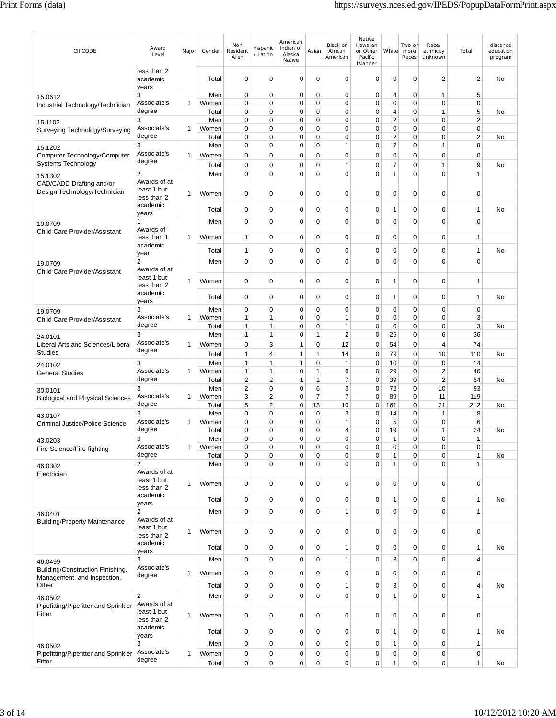| CIPCODE                                                             | Award<br>Level                             | Major | Gender                | Non<br>Resident<br>Alien     | Hispanic<br>/ Latino          | American<br>Indian or<br>Alaska<br>Native | Asian               | Black or<br>African<br>American | Native<br>Hawaiian<br>or Other<br>Pacific<br>Islander | White                                 | Two or<br>more<br>Races    | Race/<br>ethnicity<br>unknown | Total                        | distance<br>education<br>program |
|---------------------------------------------------------------------|--------------------------------------------|-------|-----------------------|------------------------------|-------------------------------|-------------------------------------------|---------------------|---------------------------------|-------------------------------------------------------|---------------------------------------|----------------------------|-------------------------------|------------------------------|----------------------------------|
|                                                                     | less than 2<br>academic<br>years           |       | Total                 | $\mathbf 0$                  | $\mathbf 0$                   | $\mathbf 0$                               | $\mathbf 0$         | 0                               | $\mathbf 0$                                           | $\mathbf 0$                           | 0                          | $\overline{2}$                | $\overline{\mathbf{c}}$      | No                               |
| 15.0612<br>Industrial Technology/Technician                         | 3<br>Associate's                           | 1     | Men<br>Women          | $\mathbf 0$<br>$\mathbf 0$   | 0<br>$\mathbf 0$              | $\mathbf 0$<br>$\mathbf 0$                | 0<br>$\mathbf 0$    | $\mathbf 0$<br>$\mathbf 0$      | $\mathbf 0$<br>0                                      | 4<br>0                                | $\mathbf 0$<br>$\mathbf 0$ | $\mathbf{1}$<br>$\mathbf 0$   | 5<br>$\pmb{0}$               |                                  |
|                                                                     | degree                                     |       | Total                 | 0                            | $\mathbf 0$                   | $\mathbf 0$                               | 0                   | $\mathbf 0$                     | $\mathbf 0$<br>$\mathbf 0$                            | 4                                     | $\mathbf 0$                | 1<br>$\mathbf 0$              | 5<br>$\overline{\mathbf{c}}$ | No                               |
| 15.1102<br>Surveying Technology/Surveying                           | 3<br>Associate's<br>degree                 | 1     | Men<br>Women<br>Total | 0<br>$\mathbf 0$<br>0        | 0<br>0<br>0                   | 0<br>$\mathbf 0$<br>0                     | 0<br>0<br>0         | 0<br>$\mathbf 0$<br>0           | $\mathbf 0$<br>$\mathbf 0$                            | $\overline{c}$<br>0<br>$\overline{c}$ | 0<br>0<br>0                | $\mathbf 0$<br>$\mathbf 0$    | 0<br>$\overline{\mathbf{c}}$ | No                               |
| 15.1202                                                             | 3                                          |       | Men                   | 0                            | 0                             | $\mathbf 0$                               | 0                   | $\mathbf{1}$                    | $\mathbf 0$                                           | $\overline{7}$                        | 0                          | 1                             | 9                            |                                  |
| Computer Technology/Computer<br>Systems Technology                  | Associate's<br>degree                      | 1     | Women<br>Total        | 0<br>0                       | 0<br>0                        | $\mathbf 0$<br>0                          | 0<br>0              | $\mathbf 0$<br>$\mathbf{1}$     | $\mathbf 0$<br>0                                      | 0<br>7                                | 0<br>0                     | $\mathbf 0$<br>$\mathbf 1$    | 0<br>9                       | No                               |
| 15.1302<br>CAD/CADD Drafting and/or<br>Design Technology/Technician | 2<br>Awards of at<br>least 1 but           | 1     | Men<br>Women          | $\mathbf 0$<br>0             | $\mathbf 0$<br>0              | $\mathbf 0$<br>0                          | 0<br>0              | $\mathbf 0$<br>0                | $\mathbf 0$<br>0                                      | $\mathbf{1}$<br>0                     | $\mathbf 0$<br>0           | $\mathbf 0$<br>$\mathbf 0$    | $\mathbf{1}$<br>0            |                                  |
|                                                                     | less than 2<br>academic                    |       | Total                 | 0                            | 0                             | 0                                         | 0                   | 0                               | 0                                                     | 1                                     | 0                          | 0                             | 1                            | No                               |
| 19.0709                                                             | years<br>1                                 |       | Men                   | $\mathbf 0$                  | $\mathbf 0$                   | $\mathbf 0$                               | $\mathbf 0$         | $\mathbf 0$                     | $\mathbf 0$                                           | 0                                     | $\mathbf 0$                | $\mathbf 0$                   | $\mathbf 0$                  |                                  |
| Child Care Provider/Assistant                                       | Awards of<br>less than 1                   | 1     | Women                 | $\mathbf{1}$                 | 0                             | 0                                         | 0                   | 0                               | $\mathbf 0$                                           | 0                                     | 0                          | 0                             | 1                            |                                  |
|                                                                     | academic<br>year                           |       | Total                 | $\mathbf{1}$                 | 0                             | 0                                         | 0                   | 0                               | 0                                                     | 0                                     | 0                          | 0                             | 1                            | No                               |
| 19.0709<br>Child Care Provider/Assistant                            | 2<br>Awards of at                          |       | Men                   | 0                            | $\mathbf 0$                   | $\mathbf 0$                               | 0                   | 0                               | $\mathbf 0$                                           | 0                                     | $\mathbf 0$                | $\mathbf 0$                   | $\mathbf 0$                  |                                  |
|                                                                     | least 1 but<br>less than 2                 | 1     | Women                 | $\mathbf 0$                  | 0                             | $\mathbf 0$                               | 0                   | 0                               | 0                                                     | $\mathbf{1}$                          | $\mathbf 0$                | $\mathbf 0$                   | 1                            |                                  |
|                                                                     | academic<br>years                          |       | Total                 | 0                            | 0                             | 0                                         | 0                   | 0                               | 0                                                     | 1                                     | 0                          | 0                             | 1                            | No                               |
| 19.0709                                                             | 3                                          |       | Men                   | $\mathbf 0$                  | 0                             | $\mathbf 0$                               | $\mathbf 0$         | $\mathbf 0$                     | $\mathbf 0$                                           | $\mathbf 0$                           | $\mathbf 0$                | $\mathbf 0$                   | 0                            |                                  |
| Child Care Provider/Assistant                                       | Associate's                                | 1     | Women                 | $\mathbf{1}$                 | 1                             | 0                                         | 0                   | 1                               | $\mathbf 0$                                           | 0                                     | 0                          | $\mathbf 0$                   | 3                            |                                  |
| 24.0101                                                             | degree<br>3                                |       | Total<br>Men          | $\mathbf{1}$<br>$\mathbf{1}$ | 1<br>1                        | $\mathbf 0$<br>$\mathbf 0$                | 0<br>1              | $\mathbf{1}$<br>$\mathbf 2$     | $\mathbf 0$<br>$\mathbf 0$                            | $\mathbf 0$<br>25                     | 0<br>$\mathbf 0$           | $\mathbf 0$<br>6              | 3<br>36                      | No                               |
| Liberal Arts and Sciences/Liberal<br><b>Studies</b>                 | Associate's<br>degree                      | 1     | Women                 | 0                            | 3                             | $\mathbf{1}$                              | 0                   | 12                              | 0                                                     | 54                                    | 0                          | $\overline{4}$                | 74                           |                                  |
|                                                                     | 3                                          |       | Total<br>Men          | $\mathbf{1}$<br>$\mathbf{1}$ | 4<br>1                        | $\mathbf{1}$<br>1                         | 1<br>0              | 14<br>$\mathbf{1}$              | $\mathbf 0$<br>$\mathbf 0$                            | 79<br>10                              | 0<br>$\mathbf 0$           | 10<br>$\mathbf 0$             | 110<br>14                    | No                               |
| 24.0102<br><b>General Studies</b>                                   | Associate's                                | 1     | Women                 | 1                            | 1                             | 0                                         | 1                   | 6                               | 0                                                     | 29                                    | 0                          | $\overline{2}$                | 40                           |                                  |
|                                                                     | degree                                     |       | Total                 | $\overline{2}$               | $\overline{c}$                | $\mathbf{1}$                              | 1                   | 7                               | $\mathbf 0$                                           | 39                                    | 0                          | $\overline{2}$                | 54                           | No                               |
| 30.0101                                                             | 3<br>Associate's                           | 1     | Men<br>Women          | $\overline{\mathbf{c}}$<br>3 | 0<br>$\overline{c}$           | $\mathbf 0$<br>$\mathbf 0$                | 6<br>$\overline{7}$ | 3<br>$\overline{7}$             | $\mathbf 0$<br>$\mathbf 0$                            | 72<br>89                              | 0<br>0                     | 10<br>11                      | 93<br>119                    |                                  |
| <b>Biological and Physical Sciences</b>                             | degree                                     |       | Total                 | 5                            | $\overline{2}$                | $\mathbf 0$                               | 13                  | 10                              | $\mathbf 0$                                           | 161                                   | $\mathbf 0$                | 21                            | 212                          | No                               |
| 43.0107                                                             | 3                                          |       | Men                   | $\mathbf 0$                  | 0                             | $\mathbf 0$                               | 0                   | 3                               | $\mathbf 0$                                           | 14                                    | 0                          | 1                             | 18                           |                                  |
| Criminal Justice/Police Science                                     | Associate's<br>degree                      | 1     | Women<br>Total        | $\mathbf 0$<br>$\mathbf 0$   | $\mathbf 0$<br>0              | $\mathbf 0$<br>0                          | 0<br>0              | $\mathbf{1}$<br>4               | $\mathbf 0$<br>0                                      | 5<br>19                               | 0<br>0                     | $\mathbf 0$<br>$\overline{1}$ | 6<br>24                      | No                               |
| 43.0203                                                             | 3                                          |       | Men                   | 0                            | 0                             | 0                                         | 0                   | 0                               | 0                                                     | 1                                     | 0                          | $\pmb{0}$                     | 1                            |                                  |
| Fire Science/Fire-fighting                                          | Associate's<br>degree                      | 1     | Women                 | 0                            | 0                             | 0                                         | 0                   | 0                               | $\mathbf 0$                                           | 0                                     | $\mathbf 0$                | $\mathbf 0$                   | 0                            |                                  |
| 46.0302                                                             | $\overline{\mathbf{c}}$                    |       | Total<br>Men          | $\pmb{0}$<br>$\mathbf 0$     | $\mathbf 0$<br>$\overline{0}$ | $\mathbf 0$<br>$\mathbf 0$                | $\mathbf 0$<br>0    | $\mathbf 0$<br>$\mathbf 0$      | $\pmb{0}$<br>$\mathbf 0$                              | 1<br>$\mathbf{1}$                     | $\mathbf 0$<br>0           | $\mathbf 0$<br>$\mathbf 0$    | $\mathbf{1}$<br>1            | No                               |
| Electrician                                                         | Awards of at<br>least 1 but                |       |                       |                              |                               |                                           |                     |                                 |                                                       |                                       |                            |                               |                              |                                  |
|                                                                     | less than 2<br>academic                    | 1     | Women<br>Total        | $\mathbf 0$<br>$\pmb{0}$     | $\mathbf 0$<br>$\mathbf 0$    | $\mathbf 0$<br>0                          | $\mathbf 0$<br>0    | $\mathbf 0$<br>0                | $\pmb{0}$<br>$\pmb{0}$                                | $\mathbf 0$<br>1                      | $\mathbf 0$<br>$\mathbf 0$ | $\mathbf 0$<br>$\mathbf 0$    | 0<br>1                       | No                               |
| 46.0401                                                             | years<br>2                                 |       | Men                   | $\pmb{0}$                    | $\mathbf 0$                   | $\overline{0}$                            | 0                   | $\mathbf{1}$                    | $\pmb{0}$                                             | $\mathbf 0$                           | $\mathbf 0$                | $\mathbf 0$                   | $\mathbf{1}$                 |                                  |
| <b>Building/Property Maintenance</b>                                | Awards of at<br>least 1 but<br>less than 2 | 1     | Women                 | $\mathbf 0$                  | $\overline{0}$                | $\mathbf 0$                               | $\mathbf 0$         | $\mathbf 0$                     | $\pmb{0}$                                             | $\mathbf 0$                           | $\mathbf 0$                | $\mathbf 0$                   | $\pmb{0}$                    |                                  |
|                                                                     | academic<br>years                          |       | Total                 | $\mathbf 0$                  | 0                             | 0                                         | 0                   | 1                               | $\mathbf 0$                                           | 0                                     | $\mathbf 0$                | $\mathbf 0$                   | 1                            | No                               |
| 46.0499                                                             | 3                                          |       | Men                   | $\pmb{0}$                    | $\mathbf 0$                   | $\pmb{0}$                                 | $\mathbf 0$         | $\mathbf{1}$                    | $\pmb{0}$                                             | 3                                     | $\mathbf 0$                | $\mathbf 0$                   | 4                            |                                  |
| Building/Construction Finishing,                                    | Associate's                                | 1     | Women                 | $\mathbf 0$                  | $\mathbf 0$                   | $\mathbf 0$                               | 0                   | $\mathbf 0$                     | $\pmb{0}$                                             | 0                                     | $\mathbf 0$                | $\mathbf 0$                   | 0                            |                                  |
| Management, and Inspection,<br>Other                                | degree                                     |       | Total                 | $\pmb{0}$                    | $\mathbf 0$                   | $\mathbf 0$                               | 0                   | $\mathbf{1}$                    | $\pmb{0}$                                             | 3                                     | $\mathbf 0$                | $\mathbf 0$                   | 4                            | No                               |
| 46.0502                                                             | $\overline{2}$                             |       | Men                   | $\mathbf 0$                  | $\mathbf 0$                   | $\overline{0}$                            | 0                   | $\pmb{0}$                       | $\pmb{0}$                                             | $\mathbf{1}$                          | $\mathbf 0$                | $\mathbf 0$                   | 1                            |                                  |
| Pipefitting/Pipefitter and Sprinkler                                | Awards of at                               |       |                       |                              |                               |                                           |                     |                                 |                                                       |                                       |                            |                               |                              |                                  |
| Fitter                                                              | least 1 but<br>less than 2<br>academic     | 1     | Women                 | $\mathbf 0$                  | $\mathbf 0$                   | $\mathbf 0$                               | $\mathbf 0$         | $\mathbf 0$                     | $\pmb{0}$                                             | 0                                     | $\mathbf 0$                | $\mathbf 0$                   | 0                            |                                  |
|                                                                     | years                                      |       | Total                 | $\mathbf 0$                  | $\mathbf 0$                   | $\mathbf 0$                               | 0                   | $\mathbf 0$                     | $\mathbf 0$                                           | 1                                     | $\mathbf 0$                | 0                             | 1                            | No                               |
| 46.0502                                                             | 3                                          |       | Men                   | $\pmb{0}$                    | $\mathbf 0$                   | $\mathbf 0$                               | 0                   | $\mathbf 0$                     | $\mathbf 0$                                           | 1                                     | $\mathbf 0$                | $\mathbf 0$                   | 1                            |                                  |
| Pipefitting/Pipefitter and Sprinkler<br>Fitter                      | Associate's<br>degree                      | 1     | Women<br>Total        | $\pmb{0}$<br>$\mathbf 0$     | $\mathbf 0$<br>$\mathbf 0$    | $\mathbf 0$<br>$\mathbf 0$                | 0<br>0              | $\mathbf 0$<br>$\pmb{0}$        | $\pmb{0}$<br>$\pmb{0}$                                | 0<br>$\mathbf{1}$                     | $\mathbf 0$<br>$\mathbf 0$ | $\pmb{0}$<br>$\pmb{0}$        | 0<br>$\mathbf{1}$            | No                               |
|                                                                     |                                            |       |                       |                              |                               |                                           |                     |                                 |                                                       |                                       |                            |                               |                              |                                  |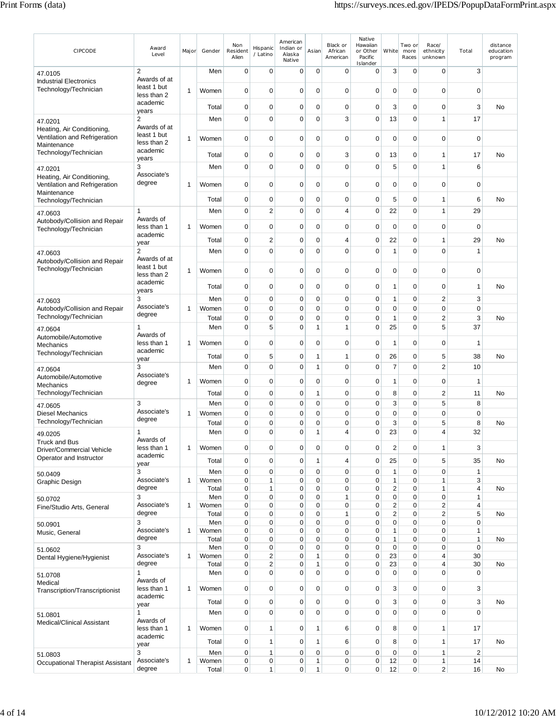| CIPCODE                                                                    | Award<br>Level                             | Major        | Gender         | Non<br>Resident<br>Alien   | Hispanic<br>/ Latino                               | American<br>Indian or<br>Alaska<br>Native | Asian                    | Black or<br>African<br>American | Native<br>Hawaiian<br>or Other<br>Pacific<br>Islander | White                        | Two or<br>more<br>Races    | Race/<br>ethnicity<br>unknown    | Total             | distance<br>education<br>program |                |             |   |   |  |
|----------------------------------------------------------------------------|--------------------------------------------|--------------|----------------|----------------------------|----------------------------------------------------|-------------------------------------------|--------------------------|---------------------------------|-------------------------------------------------------|------------------------------|----------------------------|----------------------------------|-------------------|----------------------------------|----------------|-------------|---|---|--|
| 47.0105                                                                    | $\overline{2}$<br>Awards of at             |              | Men            | $\mathbf 0$                | $\mathbf 0$                                        | $\mathbf 0$                               | $\mathbf 0$              | $\mathbf 0$                     | 0                                                     | 3                            | 0                          | $\mathbf 0$                      | 3                 |                                  |                |             |   |   |  |
| <b>Industrial Electronics</b><br>Technology/Technician                     | least 1 but<br>less than 2                 | 1            | Women          | 0                          | $\mathbf 0$                                        | 0                                         | 0                        | 0                               | 0                                                     | $\mathbf 0$                  | $\mathbf 0$                | 0                                | $\pmb{0}$         |                                  |                |             |   |   |  |
|                                                                            | academic<br>years                          |              | Total          | 0                          | 0                                                  | 0                                         | 0                        | 0                               | 0                                                     | 3                            | $\mathbf 0$                | $\mathbf 0$                      | 3                 | No                               |                |             |   |   |  |
| 47.0201                                                                    | $\overline{2}$                             |              | Men            | $\mathbf 0$                | $\mathbf 0$                                        | $\mathbf 0$                               | $\mathbf 0$              | 3                               | $\pmb{0}$                                             | 13                           | $\mathbf 0$                | $\mathbf{1}$                     | 17                |                                  |                |             |   |   |  |
| Heating, Air Conditioning,<br>Ventilation and Refrigeration<br>Maintenance | Awards of at<br>least 1 but<br>less than 2 | 1            | Women          | 0                          | $\mathbf 0$                                        | 0                                         | 0                        | 0                               | 0                                                     | $\mathbf 0$                  | 0                          | $\mathbf 0$                      | $\mathbf 0$       |                                  |                |             |   |   |  |
| Technology/Technician                                                      | academic<br>years                          |              | Total          | 0                          | 0                                                  | 0                                         | 0                        | 3                               | 0                                                     | 13                           | 0                          | 1                                | 17                | No                               |                |             |   |   |  |
| 47.0201                                                                    | 3<br>Associate's                           |              | Men            | 0                          | $\mathbf 0$                                        | $\mathbf 0$                               | 0                        | 0                               | 0                                                     | 5                            | $\mathbf 0$                | $\mathbf{1}$                     | 6                 |                                  |                |             |   |   |  |
| Heating, Air Conditioning,<br>Ventilation and Refrigeration<br>Maintenance | degree                                     | 1            | Women          | $\mathbf 0$                | $\mathbf 0$                                        | 0                                         | 0                        | 0                               | 0                                                     | 0                            | $\mathbf 0$                | 0                                | 0                 |                                  |                |             |   |   |  |
| Technology/Technician                                                      |                                            |              | Total          | 0                          | $\mathbf 0$                                        | 0                                         | 0                        | 0                               | 0                                                     | 5                            | $\mathbf 0$                | 1                                | 6                 | No                               |                |             |   |   |  |
| 47.0603                                                                    | 1<br>Awards of                             |              | Men            | $\mathbf 0$                | $\overline{2}$                                     | $\mathbf 0$                               | $\mathbf 0$              | 4                               | $\pmb{0}$                                             | 22                           | $\mathbf 0$                | $\mathbf{1}$                     | 29                |                                  |                |             |   |   |  |
| Autobody/Collision and Repair<br>Technology/Technician                     | less than 1<br>academic                    | 1            | Women          | $\mathbf 0$                | $\mathbf 0$                                        | 0                                         | 0                        | 0                               | 0                                                     | $\pmb{0}$                    | $\mathbf 0$                | 0                                | $\mathbf 0$       |                                  |                |             |   |   |  |
|                                                                            | year                                       |              | Total          | $\mathbf 0$                | $\overline{\mathbf{c}}$                            | 0                                         | 0                        | 4                               | $\mathbf 0$                                           | 22                           | $\mathbf 0$                | 1                                | 29                | No                               |                |             |   |   |  |
| 47.0603<br>Autobody/Collision and Repair                                   | $\overline{2}$<br>Awards of at             |              | Men            | $\mathbf 0$                | $\overline{0}$                                     | 0                                         | 0                        | 0                               | $\mathbf 0$                                           | $\mathbf{1}$                 | $\mathbf 0$                | $\mathbf 0$                      | $\mathbf{1}$      |                                  |                |             |   |   |  |
| Technology/Technician                                                      | least 1 but<br>less than 2                 | 1            | Women          | $\mathbf 0$                | $\mathbf 0$                                        | 0                                         | 0                        | 0                               | 0                                                     | $\mathbf 0$                  | $\mathbf 0$                | 0                                | 0                 |                                  |                |             |   |   |  |
|                                                                            | academic<br>years                          |              | Total          | 0                          | $\mathbf 0$                                        | 0                                         | 0                        | 0                               | 0                                                     | $\mathbf{1}$                 | 0                          | 0                                | 1                 | No                               |                |             |   |   |  |
| 47.0603                                                                    | 3                                          |              | Men            | $\mathbf 0$                | $\mathbf 0$                                        | 0                                         | 0                        | $\mathbf 0$                     | 0                                                     | $\mathbf{1}$                 | $\mathbf 0$                | $\overline{2}$                   | 3                 |                                  |                |             |   |   |  |
| Autobody/Collision and Repair<br>Technology/Technician                     | Associate's<br>degree                      | 1            | Women<br>Total | $\mathbf 0$<br>$\mathbf 0$ | $\mathbf 0$<br>$\mathbf 0$                         | $\mathbf 0$<br>0                          | 0<br>0                   | $\mathbf 0$<br>0                | 0<br>$\mathbf 0$                                      | $\mathbf 0$<br>$\mathbf{1}$  | $\mathbf 0$<br>0           | 0<br>$\overline{2}$              | $\mathbf 0$<br>3  | No                               |                |             |   |   |  |
| 47.0604                                                                    | 1                                          |              | Men            | $\mathbf 0$                | 5                                                  | 0                                         | 1                        | 1                               | 0                                                     | 25                           | $\mathbf 0$                | 5                                | 37                |                                  |                |             |   |   |  |
| Automobile/Automotive<br>Mechanics                                         | Awards of<br>less than 1                   | 1            | Women          | $\mathbf 0$                | $\mathbf 0$                                        | 0                                         | 0                        | 0                               | $\mathbf 0$                                           | $\mathbf{1}$                 | $\mathbf 0$                | $\mathbf 0$                      | 1                 |                                  |                |             |   |   |  |
| Technology/Technician                                                      | academic<br>year                           |              | Total          | 0                          | 5                                                  | 0                                         | 1                        | 1                               | 0                                                     | 26                           | 0                          | 5                                | 38                | No                               |                |             |   |   |  |
| 47.0604                                                                    | 3                                          |              | Men            | $\mathbf 0$                | $\mathbf 0$                                        | 0                                         | $\mathbf{1}$             | 0                               | $\mathbf 0$                                           | $\overline{7}$               | $\mathbf 0$                | $\overline{2}$                   | 10                |                                  |                |             |   |   |  |
| Automobile/Automotive<br><b>Mechanics</b>                                  | Associate's<br>degree                      | 1            | Women          | $\mathbf 0$                | $\mathbf 0$                                        | 0                                         | 0                        | 0                               | 0                                                     | $\mathbf{1}$                 | $\mathbf 0$                | 0                                | 1                 |                                  |                |             |   |   |  |
| Technology/Technician                                                      |                                            |              | Total          | $\mathbf 0$                | $\mathbf 0$                                        | $\mathbf 0$                               | $\mathbf{1}$             | 0                               | 0                                                     | 8                            | $\mathbf 0$                | $\overline{2}$                   | 11                | No                               |                |             |   |   |  |
| 47.0605                                                                    | 3<br>Associate's                           |              | Men            | 0                          | $\mathbf 0$                                        | 0                                         | 0                        | 0                               | 0                                                     | 3                            | $\mathbf 0$                | 5                                | 8                 |                                  |                |             |   |   |  |
| <b>Diesel Mechanics</b><br>Technology/Technician                           | degree                                     | 1            | Women<br>Total | 0<br>0                     | $\mathbf 0$<br>$\mathbf 0$                         | $\mathbf 0$<br>0                          | 0<br>0                   | 0<br>0                          | 0<br>0                                                | $\mathbf 0$<br>3             | $\mathbf 0$<br>0           | 0<br>5                           | $\mathbf 0$<br>8  | No                               |                |             |   |   |  |
| 49.0205                                                                    | 1                                          |              | Men            | $\mathbf 0$                | 0                                                  | 0                                         | 1                        | 4                               | 0                                                     | 23                           | 0                          | 4                                | 32                |                                  |                |             |   |   |  |
| <b>Truck and Bus</b><br>Driver/Commercial Vehicle                          | Awards of<br>less than 1                   | 1            |                |                            |                                                    |                                           |                          | Women                           | $\mathbf 0$                                           | $\mathbf 0$                  | 0                          | $\mathbf 0$                      | 0                 | 0                                | $\overline{c}$ | $\mathbf 0$ | 1 | 3 |  |
| Operator and Instructor                                                    | academic<br>year                           |              | Total          | $\mathbf 0$                | $\pmb{0}$                                          | 0                                         | 1                        | 4                               | 0                                                     | 25                           | $\mathbf 0$                | 5                                | 35                | No                               |                |             |   |   |  |
| 50.0409                                                                    | 3<br>Associate's                           |              | Men            | $\pmb{0}$                  | $\pmb{0}$                                          | $\mathbf 0$                               | $\mathbf 0$              | $\mathbf 0$                     | $\pmb{0}$                                             | $\mathbf{1}$                 | $\mathbf 0$                | $\mathbf 0$                      | $\mathbf{1}$      |                                  |                |             |   |   |  |
| Graphic Design                                                             | degree                                     | $\mathbf{1}$ | Women<br>Total | $\mathbf 0$<br>$\pmb{0}$   | 1<br>$\mathbf{1}$                                  | 0<br>$\mathbf 0$                          | $\mathbf 0$<br>$\pmb{0}$ | $\mathbf 0$<br>$\mathbf 0$      | $\pmb{0}$<br>0                                        | $\mathbf{1}$<br>$\sqrt{2}$   | $\mathbf 0$<br>$\mathbf 0$ | $\mathbf{1}$<br>$\mathbf{1}$     | 3<br>$\pmb{4}$    | No                               |                |             |   |   |  |
| 50.0702                                                                    | 3                                          |              | Men            | $\mathbf 0$                | $\pmb{0}$                                          | $\mathbf 0$                               | 0                        | $\mathbf{1}$                    | $\pmb{0}$                                             | $\pmb{0}$                    | $\mathbf 0$                | $\mathbf 0$                      | 1                 |                                  |                |             |   |   |  |
| Fine/Studio Arts, General                                                  | Associate's<br>degree                      | 1            | Women<br>Total | $\mathbf 0$<br>0           | $\pmb{0}$<br>$\pmb{0}$                             | 0<br>0                                    | 0<br>0                   | $\mathbf 0$<br>$\mathbf{1}$     | 0<br>0                                                | $\sqrt{2}$<br>$\overline{2}$ | $\mathbf 0$<br>$\mathbf 0$ | $\overline{2}$<br>$\overline{2}$ | $\pmb{4}$<br>5    | No                               |                |             |   |   |  |
| 50.0901                                                                    | 3                                          |              | Men            | 0                          | 0                                                  | 0                                         | 0                        | 0                               | 0                                                     | $\mathbf 0$                  | $\mathbf 0$                | 0                                | $\mathbf 0$       |                                  |                |             |   |   |  |
| Music, General                                                             | Associate's<br>degree                      | 1            | Women<br>Total | $\mathbf 0$<br>0           | 0<br>0                                             | 0<br>0                                    | 0<br>$\mathbf 0$         | 0<br>0                          | 0<br>0                                                | $\mathbf{1}$<br>$\mathbf{1}$ | 0<br>$\mathbf 0$           | $\mathbf 0$<br>0                 | $\mathbf{1}$<br>1 | No                               |                |             |   |   |  |
| 51.0602                                                                    | 3                                          |              | Men            | $\pmb{0}$                  | 0                                                  | 0                                         | 0                        | $\mathbf 0$                     | 0                                                     | $\pmb{0}$                    | $\mathbf 0$                | 0                                | $\mathsf 0$       |                                  |                |             |   |   |  |
| Dental Hygiene/Hygienist                                                   | Associate's<br>degree                      | 1            | Women<br>Total | 0<br>0                     | $\overline{\mathbf{c}}$<br>$\overline{\mathbf{c}}$ | 0<br>0                                    | 1<br>1                   | 0<br>$\mathbf 0$                | 0<br>0                                                | 23<br>23                     | $\mathbf 0$<br>$\pmb{0}$   | 4<br>$\overline{4}$              | 30<br>30          | No                               |                |             |   |   |  |
| 51.0708                                                                    | 1                                          |              | Men            | $\mathbf 0$                | 0                                                  | 0                                         | $\mathbf 0$              | 0                               | 0                                                     | $\mathbf 0$                  | $\mathbf 0$                | $\mathbf 0$                      | $\pmb{0}$         |                                  |                |             |   |   |  |
| Medical<br>Transcription/Transcriptionist                                  | Awards of<br>less than 1                   | 1            | Women          | $\mathbf 0$                | $\mathbf 0$                                        | 0                                         | $\mathbf 0$              | $\mathbf 0$                     | 0                                                     | 3                            | $\mathbf 0$                | $\mathbf 0$                      | 3                 |                                  |                |             |   |   |  |
|                                                                            | academic<br>year                           |              | Total          | $\mathbf 0$                | 0                                                  | $\mathbf 0$                               | 0                        | $\mathbf 0$                     | 0                                                     | 3                            | $\mathbf 0$                | 0                                | 3                 | No                               |                |             |   |   |  |
| 51.0801                                                                    | 1                                          |              | Men            | $\mathbf 0$                | $\mathbf 0$                                        | $\mathbf 0$                               | $\mathbf 0$              | $\mathbf 0$                     | $\pmb{0}$                                             | $\mathbf 0$                  | $\mathbf 0$                | $\mathbf 0$                      | $\overline{0}$    |                                  |                |             |   |   |  |
| Medical/Clinical Assistant                                                 | Awards of<br>less than 1                   | 1            | Women          | $\mathbf 0$                | 1                                                  | 0                                         | 1                        | 6                               | 0                                                     | 8                            | $\mathbf 0$                | 1                                | 17                |                                  |                |             |   |   |  |
|                                                                            | academic<br>year                           |              | Total          | $\mathbf 0$                | 1                                                  | $\mathbf 0$                               | 1                        | 6                               | 0                                                     | 8                            | $\mathbf 0$                | 1                                | 17                | No                               |                |             |   |   |  |
| 51.0803                                                                    | 3                                          |              | Men            | $\mathbf 0$                | $\mathbf{1}$                                       | $\mathbf 0$                               | $\mathbf 0$              | 0                               | 0                                                     | $\mathbf 0$                  | $\mathbf 0$                | $\mathbf{1}$                     | 2                 |                                  |                |             |   |   |  |
| Occupational Therapist Assistant                                           | Associate's<br>degree                      | $\mathbf{1}$ | Women<br>Total | 0<br>0                     | 0<br>$\mathbf{1}$                                  | $\mathbf 0$<br>$\mathbf 0$                | 1<br>$\mathbf{1}$        | $\pmb{0}$<br>$\mathbf 0$        | 0<br>0                                                | 12<br>12                     | 0<br>$\mathbf 0$           | $\mathbf{1}$<br>$\overline{c}$   | 14<br>16          | No                               |                |             |   |   |  |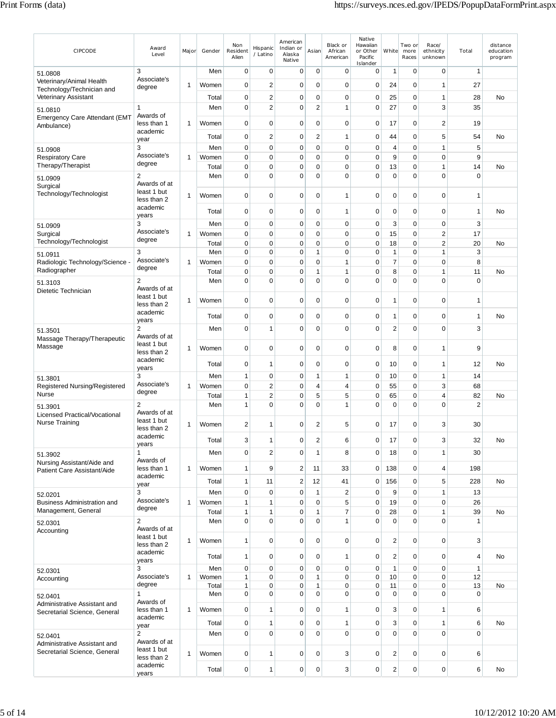| CIPCODE                                                      | Award<br>Level                 | Major            | Gender         | Non<br>Resident<br>Alien    | Hispanic<br>/ Latino        | American<br>Indian or<br>Alaska<br>Native | Asian                       | Black or<br>African<br>American | Native<br>Hawaiian<br>or Other<br>Pacific<br>Islander | White                   | Two or<br>more<br>Races    | Race/<br>ethnicity<br>unknown | Total          | distance<br>education<br>program |
|--------------------------------------------------------------|--------------------------------|------------------|----------------|-----------------------------|-----------------------------|-------------------------------------------|-----------------------------|---------------------------------|-------------------------------------------------------|-------------------------|----------------------------|-------------------------------|----------------|----------------------------------|
| 51.0808                                                      | 3                              |                  | Men            | $\mathbf 0$                 | 0                           | $\mathbf 0$                               | $\mathbf 0$                 | $\mathbf 0$                     | $\mathbf 0$                                           | 1                       | $\mathbf 0$                | 0                             | 1              |                                  |
| Veterinary/Animal Health                                     | Associate's<br>degree          | 1                | Women          | $\mathbf 0$                 | $\overline{c}$              | $\mathbf 0$                               | $\mathbf 0$                 | $\mathbf 0$                     | $\pmb{0}$                                             | 24                      | $\mathbf 0$                | 1                             | 27             |                                  |
| Technology/Technician and<br><b>Veterinary Assistant</b>     |                                |                  | Total          | $\mathbf 0$                 | $\overline{\mathbf{c}}$     | $\mathbf 0$                               | $\mathbf 0$                 | $\mathbf 0$                     | $\mathbf 0$                                           | 25                      | $\mathbf 0$                | $\mathbf{1}$                  | 28             | <b>No</b>                        |
| 51.0810                                                      | 1                              |                  | Men            | $\mathbf 0$                 | $\overline{c}$              | $\mathbf 0$                               | $\overline{2}$              | $\mathbf{1}$                    | $\pmb{0}$                                             | 27                      | $\mathbf 0$                | 3                             | 35             |                                  |
| <b>Emergency Care Attendant (EMT</b>                         | Awards of                      |                  |                |                             |                             |                                           |                             |                                 |                                                       |                         |                            |                               |                |                                  |
| Ambulance)                                                   | less than 1<br>academic        | 1                | Women          | $\mathbf 0$                 | $\mathbf 0$                 | $\mathbf 0$                               | $\mathbf 0$                 | $\mathbf 0$                     | 0                                                     | 17                      | $\mathbf 0$                | $\overline{2}$                | 19             |                                  |
|                                                              | year                           |                  | Total          | $\mathbf 0$                 | $\overline{c}$              | $\mathbf 0$                               | $\overline{c}$              | $\mathbf{1}$                    | $\mathbf 0$                                           | 44                      | $\mathbf 0$                | 5                             | 54             | <b>No</b>                        |
| 51.0908<br><b>Respiratory Care</b>                           | 3<br>Associate's               | 1                | Men<br>Women   | $\mathbf 0$<br>$\mathbf 0$  | 0<br>$\mathbf 0$            | $\mathbf 0$<br>$\mathbf 0$                | $\mathbf 0$<br>$\mathbf 0$  | $\mathbf 0$<br>$\mathbf 0$      | $\mathbf 0$<br>$\pmb{0}$                              | 4<br>9                  | $\mathbf 0$<br>$\mathbf 0$ | $\mathbf{1}$<br>$\mathbf 0$   | 5<br>9         |                                  |
| Therapy/Therapist                                            | degree                         |                  | Total          | $\mathbf 0$                 | $\mathbf 0$                 | $\mathbf 0$                               | $\mathbf 0$                 | $\mathbf 0$                     | $\pmb{0}$                                             | 13                      | $\mathbf 0$                | $\mathbf{1}$                  | 14             | No                               |
| 51.0909                                                      | $\overline{2}$                 |                  | Men            | $\mathbf 0$                 | $\mathbf 0$                 | 0                                         | $\mathbf 0$                 | $\mathbf 0$                     | $\mathbf 0$                                           | $\mathbf 0$             | $\mathbf 0$                | $\mathbf 0$                   | 0              |                                  |
| Surgical                                                     | Awards of at<br>least 1 but    |                  |                |                             |                             |                                           |                             |                                 |                                                       |                         |                            |                               |                |                                  |
| Technology/Technologist                                      | less than 2                    | 1                | Women          | $\mathbf 0$                 | $\mathbf 0$                 | $\mathbf 0$                               | $\mathbf 0$                 | 1                               | $\mathbf 0$                                           | $\mathbf 0$             | $\mathbf 0$                | 0                             | 1              |                                  |
|                                                              | academic                       |                  | Total          | $\mathbf 0$                 | 0                           | $\mathbf 0$                               | $\mathbf 0$                 | $\mathbf{1}$                    | $\mathbf 0$                                           | $\mathbf 0$             | $\mathbf 0$                | 0                             | 1              | <b>No</b>                        |
| 51.0909                                                      | years<br>3                     |                  | Men            | $\mathbf 0$                 | 0                           | $\mathbf 0$                               | $\mathbf 0$                 | $\mathbf 0$                     | $\mathbf 0$                                           | 3                       | $\mathbf 0$                | 0                             | 3              |                                  |
| Surgical                                                     | Associate's                    | 1                | Women          | $\mathbf 0$                 | $\mathbf 0$                 | $\mathbf 0$                               | 0                           | $\mathbf 0$                     | $\mathbf 0$                                           | 15                      | $\mathbf 0$                | $\overline{c}$                | 17             |                                  |
| Technology/Technologist                                      | degree                         |                  | Total          | 0                           | $\mathbf 0$                 | $\mathbf 0$                               | $\mathbf 0$                 | $\mathbf 0$                     | $\pmb{0}$                                             | 18                      | $\mathbf 0$                | $\overline{2}$                | 20             | No                               |
| 51.0911                                                      | 3<br>Associate's               | 1                | Men            | $\mathbf 0$                 | $\mathbf 0$                 | $\mathbf 0$                               | $\mathbf{1}$                | $\mathbf 0$                     | $\mathbf 0$                                           | 1                       | $\mathbf 0$                | $\mathbf{1}$                  | 3              |                                  |
| Radiologic Technology/Science -<br>Radiographer              | degree                         |                  | Women<br>Total | $\mathbf 0$<br>$\mathbf 0$  | $\mathbf 0$<br>$\mathbf 0$  | $\mathbf 0$<br>$\mathbf 0$                | $\mathbf 0$<br>$\mathbf{1}$ | $\mathbf{1}$<br>$\mathbf{1}$    | $\mathbf 0$<br>$\pmb{0}$                              | $\overline{7}$<br>8     | $\mathbf 0$<br>$\mathbf 0$ | $\mathbf 0$<br>$\mathbf{1}$   | 8<br>11        | No                               |
| 51.3103                                                      | $\overline{2}$                 |                  | Men            | $\mathbf 0$                 | $\mathbf 0$                 | $\mathbf 0$                               | $\mathbf 0$                 | $\mathbf 0$                     | $\mathbf 0$                                           | $\mathbf 0$             | $\mathbf 0$                | $\mathbf 0$                   | 0              |                                  |
| Dietetic Technician                                          | Awards of at                   |                  |                |                             |                             |                                           |                             |                                 |                                                       |                         |                            |                               |                |                                  |
|                                                              | least 1 but<br>less than 2     | 1                | Women          | $\mathbf 0$                 | $\mathbf 0$                 | $\mathbf 0$                               | $\mathbf 0$                 | $\mathbf 0$                     | $\pmb{0}$                                             | 1                       | $\mathbf 0$                | $\mathbf 0$                   | 1              |                                  |
|                                                              | academic                       |                  | Total          | $\mathbf 0$                 | $\mathbf 0$                 | $\mathbf 0$                               | 0                           | $\mathbf 0$                     | $\mathbf 0$                                           | 1                       | $\mathbf 0$                | $\mathbf 0$                   | 1              | <b>No</b>                        |
|                                                              | years<br>2                     |                  | Men            | $\mathbf 0$                 | $\mathbf{1}$                | $\mathbf 0$                               | $\mathbf 0$                 | $\mathbf 0$                     | $\mathbf 0$                                           | $\overline{2}$          | $\mathbf 0$                | $\mathbf 0$                   | 3              |                                  |
| 51.3501<br>Massage Therapy/Therapeutic                       | Awards of at                   |                  |                |                             |                             |                                           |                             |                                 |                                                       |                         |                            |                               |                |                                  |
| Massage                                                      | least 1 but<br>less than 2     | 1                | Women          | 0                           | 0                           | 0                                         | 0                           | 0                               | $\mathbf 0$                                           | 8                       | 0                          | 1                             | 9              |                                  |
|                                                              | academic                       |                  |                | $\mathbf 0$                 | 1                           | $\mathbf 0$                               | $\mathbf 0$                 | $\mathbf 0$                     | $\mathbf 0$                                           | 10                      | $\mathbf 0$                | 1                             |                | <b>No</b>                        |
|                                                              | years                          |                  | Total          |                             |                             |                                           |                             |                                 |                                                       |                         |                            |                               | 12             |                                  |
| 51.3801<br>Registered Nursing/Registered                     | 3<br>Associate's               | 1                | Men<br>Women   | $\mathbf{1}$<br>$\mathbf 0$ | 0<br>$\overline{c}$         | $\mathbf 0$<br>$\mathbf 0$                | 1<br>4                      | 1<br>$\overline{4}$             | $\mathbf 0$<br>$\mathbf 0$                            | 10<br>55                | $\mathbf 0$<br>$\mathbf 0$ | 1<br>3                        | 14<br>68       |                                  |
| Nurse                                                        | degree                         |                  | Total          | $\mathbf{1}$                | $\overline{c}$              | $\mathbf 0$                               | 5                           | 5                               | $\pmb{0}$                                             | 65                      | $\mathbf 0$                | 4                             | 82             | No                               |
| 51.3901                                                      | $\overline{2}$                 |                  | Men            | $\overline{1}$              | $\mathbf 0$                 | $\mathbf 0$                               | $\mathbf 0$                 | $\mathbf{1}$                    | $\mathbf 0$                                           | $\mathbf 0$             | $\mathbf 0$                | 0                             | $\overline{2}$ |                                  |
| Licensed Practical/Vocational                                | Awards of at<br>least 1 but    |                  |                |                             |                             |                                           |                             |                                 |                                                       |                         |                            |                               |                |                                  |
| Nurse Training                                               | less than 2                    | 1                | Women          | 2                           | 1                           | 0                                         | 2                           | 5                               | 0                                                     | 17                      | 0                          | 3                             | 30             |                                  |
|                                                              | academic<br>years              |                  | Total          | 3                           | 1                           | 0                                         | 2                           | 6                               | 0                                                     | 17                      | 0                          | 3                             | 32             | No                               |
| 51.3902                                                      | 1                              |                  | Men            | $\mathbf 0$                 | $\overline{c}$              | $\mathbf 0$                               | $\mathbf{1}$                | 8                               | $\mathbf 0$                                           | 18                      | $\Omega$                   | $\mathbf{1}$                  | 30             |                                  |
| Nursing Assistant/Aide and                                   | Awards of<br>less than 1       | 1                | Women          | $\mathbf{1}$                | 9                           | $\overline{2}$                            | 11                          | 33                              | 0                                                     | 138                     | $\mathbf 0$                | 4                             | 198            |                                  |
| Patient Care Assistant/Aide                                  | academic                       |                  |                |                             |                             |                                           |                             |                                 |                                                       |                         |                            |                               |                |                                  |
|                                                              | year                           |                  | Total          | $\mathbf{1}$                | 11                          | $\sqrt{2}$                                | 12                          | 41                              | $\pmb{0}$                                             | 156                     | $\mathbf 0$                | 5<br>$\mathbf{1}$             | 228            | No                               |
| 52.0201<br>Business Administration and                       | 3<br>Associate's               | $\mathbf{1}$     | Men<br>Women   | $\pmb{0}$<br>$\mathbf{1}$   | $\mathbf 0$<br>$\mathbf{1}$ | $\pmb{0}$<br>$\mathbf 0$                  | $\mathbf{1}$<br>$\mathbf 0$ | $\overline{2}$<br>5             | $\pmb{0}$<br>0                                        | $\boldsymbol{9}$<br>19  | $\mathbf 0$<br>$\mathbf 0$ | 0                             | 13<br>26       |                                  |
| Management, General                                          | degree                         |                  | Total          | $\mathbf{1}$                | 1                           | $\pmb{0}$                                 | $\mathbf{1}$                | $\overline{7}$                  | $\pmb{0}$                                             | 28                      | $\mathbf 0$                | $\mathbf{1}$                  | 39             | No                               |
| 52.0301                                                      | $\overline{c}$                 |                  | Men            | $\mathbf 0$                 | $\overline{0}$              | $\mathbf 0$                               | $\mathbf 0$                 | $\mathbf{1}$                    | $\pmb{0}$                                             | $\mathbf 0$             | $\mathbf 0$                | $\mathbf 0$                   | $\mathbf{1}$   |                                  |
| Accounting                                                   | Awards of at<br>least 1 but    |                  |                |                             |                             |                                           |                             |                                 |                                                       |                         |                            |                               |                |                                  |
|                                                              | less than 2                    | 1                | Women          | $\mathbf{1}$                | $\mathbf 0$                 | $\mathbf 0$                               | $\mathbf 0$                 | $\mathbf 0$                     | $\pmb{0}$                                             | $\overline{c}$          | $\mathbf 0$                | 0                             | 3              |                                  |
|                                                              | academic<br>years              |                  | Total          | $\mathbf{1}$                | $\mathbf 0$                 | $\mathbf 0$                               | $\mathbf 0$                 | $\mathbf{1}$                    | $\pmb{0}$                                             | $\sqrt{2}$              | 0                          | 0                             | 4              | No                               |
| 52.0301                                                      | 3                              |                  | Men            | $\pmb{0}$                   | $\mathbf 0$                 | $\pmb{0}$                                 | $\pmb{0}$                   | $\pmb{0}$                       | $\pmb{0}$                                             | $\mathbf{1}$            | $\pmb{0}$                  | 0                             | $\mathbf{1}$   |                                  |
| Accounting                                                   | Associate's<br>degree          | $\mathbf{1}$     | Women          | $\mathbf{1}$                | 0<br>$\mathbf 0$            | $\mathbf 0$<br>$\pmb{0}$                  | 1                           | $\mathbf 0$                     | $\mathbf 0$                                           | 10<br>11                | 0                          | 0<br>0                        | 12<br>13       |                                  |
| 52.0401                                                      | $\mathbf{1}$                   |                  | Total<br>Men   | $\mathbf{1}$<br>$\mathbf 0$ | $\overline{0}$              | $\mathbf 0$                               | $\mathbf{1}$<br>$\mathbf 0$ | $\mathbf 0$<br>$\mathbf 0$      | $\pmb{0}$<br>$\mathbf 0$                              | 0                       | 0<br>$\mathbf 0$           | $\mathbf 0$                   | $\mathbf 0$    | No                               |
| Administrative Assistant and                                 | Awards of                      |                  |                |                             |                             |                                           |                             |                                 |                                                       |                         |                            |                               |                |                                  |
| Secretarial Science, General                                 | academic                       | less than 1<br>1 | Women          | $\mathbf 0$                 | 1                           | $\mathbf 0$                               | $\mathbf 0$                 | $\mathbf{1}$                    | $\pmb{0}$                                             | 3                       | $\mathbf 0$                | 1                             | 6              |                                  |
|                                                              | year                           |                  | Total          | $\mathbf 0$                 | 1                           | $\mathbf 0$                               | $\mathbf 0$                 | $\mathbf{1}$                    | $\pmb{0}$                                             | 3                       | $\mathbf 0$                | 1                             | 6              | No                               |
| 52.0401                                                      | $\overline{2}$<br>Awards of at |                  | Men            | $\pmb{0}$                   | $\mathbf 0$                 | $\mathbf 0$                               | $\mathbf 0$                 | $\pmb{0}$                       | $\pmb{0}$                                             | 0                       | $\mathbf 0$                | 0                             | $\mathbf 0$    |                                  |
| Administrative Assistant and<br>Secretarial Science, General | least 1 but                    | 1                | Women          | $\mathbf 0$                 | 1                           | $\mathbf 0$                               | $\mathbf 0$                 | 3                               | $\pmb{0}$                                             | $\sqrt{2}$              | 0                          | 0                             | 6              |                                  |
|                                                              | less than 2<br>academic        |                  |                |                             |                             |                                           |                             |                                 |                                                       |                         |                            |                               |                |                                  |
|                                                              | years                          |                  | Total          | $\pmb{0}$                   | 1                           | $\pmb{0}$                                 | $\pmb{0}$                   | 3                               | 0                                                     | $\overline{\mathbf{c}}$ | 0                          | $\pmb{0}$                     | 6              | No                               |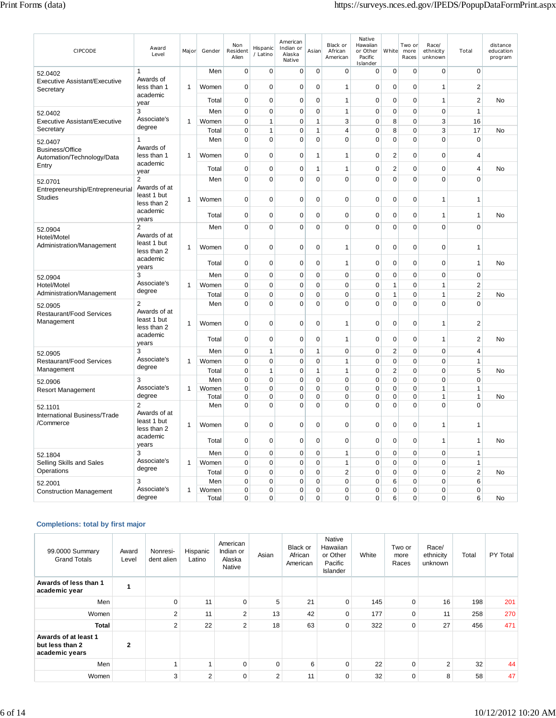| CIPCODE                                           | Award<br>Level                 | Major        | Gender         | Non<br>Resident<br>Alien | Hispanic<br>/ Latino         | American<br>Indian or<br>Alaska<br>Native | Asian                        | Black or<br>African<br>American | Native<br>Hawaiian<br>or Other<br>Pacific<br>Islander | White          | Two or<br>more<br>Races    | Race/<br>ethnicity<br>unknown | Total                         | distance<br>education<br>program |
|---------------------------------------------------|--------------------------------|--------------|----------------|--------------------------|------------------------------|-------------------------------------------|------------------------------|---------------------------------|-------------------------------------------------------|----------------|----------------------------|-------------------------------|-------------------------------|----------------------------------|
| 52.0402                                           | 1<br>Awards of                 |              | Men            | 0                        | $\mathbf 0$                  | $\mathbf 0$                               | $\mathbf 0$                  | $\mathbf 0$                     | 0                                                     | $\mathbf 0$    | $\pmb{0}$                  | 0                             | $\mathbf 0$                   |                                  |
| Executive Assistant/Executive<br>Secretary        | less than 1<br>academic        | $\mathbf{1}$ | Women          | 0                        | 0                            | $\mathbf 0$                               | $\mathbf 0$                  | $\mathbf{1}$                    | $\mathbf 0$                                           | $\mathbf 0$    | $\mathbf 0$                | $\mathbf{1}$                  | $\overline{2}$                |                                  |
|                                                   | year                           |              | Total          | 0                        | $\mathbf 0$                  | $\mathbf 0$                               | 0                            | $\mathbf{1}$                    | $\mathbf 0$                                           | $\mathbf 0$    | $\mathbf 0$                | $\mathbf{1}$                  | $\overline{2}$                | No                               |
| 52.0402                                           | 3<br>Associate's               |              | Men            | $\mathbf 0$              | $\mathbf 0$                  | $\mathbf 0$                               | $\pmb{0}$                    | $\mathbf{1}$                    | $\mathbf 0$                                           | $\mathbf 0$    | $\mathbf 0$                | 0                             | $\mathbf{1}$                  |                                  |
| <b>Executive Assistant/Executive</b><br>Secretary | degree                         | $\mathbf{1}$ | Women<br>Total | 0<br>0                   | $\mathbf{1}$<br>$\mathbf{1}$ | $\mathbf 0$<br>$\mathbf 0$                | $\mathbf{1}$<br>$\mathbf{1}$ | 3<br>$\overline{4}$             | $\mathbf 0$<br>$\mathbf 0$                            | 8<br>8         | $\pmb{0}$<br>$\mathbf 0$   | 3<br>3                        | 16<br>17                      | <b>No</b>                        |
| 52.0407                                           | 1                              |              | Men            | 0                        | $\mathbf 0$                  | $\mathbf 0$                               | $\mathbf 0$                  | $\mathbf 0$                     | $\mathbf 0$                                           | 0              | $\pmb{0}$                  | 0                             | $\mathbf 0$                   |                                  |
| <b>Business/Office</b>                            | Awards of<br>less than 1       | 1            | Women          | $\mathbf 0$              | $\mathbf 0$                  | $\mathbf 0$                               | 1                            | $\mathbf{1}$                    | $\mathbf 0$                                           | $\overline{2}$ | $\mathbf 0$                | $\mathbf 0$                   | $\overline{4}$                |                                  |
| Automation/Technology/Data<br>Entry               | academic                       |              | Total          | $\mathbf 0$              | $\pmb{0}$                    | $\mathbf 0$                               | 1                            | $\mathbf{1}$                    | $\mathbf 0$                                           | $\overline{c}$ | $\mathbf 0$                | $\mathbf 0$                   | $\overline{4}$                | No                               |
|                                                   | year<br>$\overline{c}$         |              | Men            | 0                        | $\mathbf 0$                  | $\mathbf 0$                               | $\mathbf 0$                  | 0                               | 0                                                     | $\mathbf 0$    | $\mathbf 0$                | 0                             | $\mathbf 0$                   |                                  |
| 52.0701<br>Entrepreneurship/Entrepreneurial       | Awards of at                   |              |                |                          |                              |                                           |                              |                                 |                                                       |                |                            |                               |                               |                                  |
| <b>Studies</b>                                    | least 1 but<br>less than 2     | $\mathbf{1}$ | Women          | 0                        | $\mathbf 0$                  | 0                                         | $\mathbf 0$                  | $\mathbf 0$                     | $\mathbf 0$                                           | $\mathbf 0$    | $\mathbf 0$                | 1                             | $\mathbf{1}$                  |                                  |
|                                                   | academic<br>years              |              | Total          | 0                        | 0                            | $\mathbf 0$                               | 0                            | 0                               | 0                                                     | $\mathbf 0$    | $\mathbf 0$                | 1                             | $\mathbf{1}$                  | <b>No</b>                        |
| 52.0904                                           | 2                              |              | Men            | 0                        | 0                            | $\mathbf 0$                               | 0                            | $\mathbf 0$                     | $\mathbf 0$                                           | $\mathbf 0$    | $\mathbf 0$                | $\overline{0}$                | $\mathbf 0$                   |                                  |
| Hotel/Motel                                       | Awards of at<br>least 1 but    |              |                |                          |                              |                                           |                              |                                 |                                                       |                |                            |                               |                               |                                  |
| Administration/Management                         | less than 2                    | 1            | Women          | 0                        | $\mathbf 0$                  | $\mathbf 0$                               | $\mathbf 0$                  | 1                               | $\mathbf 0$                                           | $\mathbf 0$    | $\mathbf 0$                | 0                             | 1                             |                                  |
|                                                   | academic<br>years              |              | Total          | $\mathbf 0$              | $\mathbf 0$                  | $\pmb{0}$                                 | $\mathbf 0$                  | 1                               | $\mathbf 0$                                           | $\mathbf 0$    | $\mathbf 0$                | $\overline{0}$                | $\mathbf{1}$                  | No                               |
| 52.0904                                           | 3                              |              | Men            | 0                        | $\pmb{0}$                    | $\mathbf 0$                               | 0                            | 0                               | 0                                                     | $\mathbf 0$    | $\mathbf 0$                | 0                             | $\mathbf 0$                   |                                  |
| Hotel/Motel                                       | Associate's<br>degree          | 1            | Women          | $\overline{0}$           | $\mathbf 0$                  | $\Omega$                                  | $\Omega$                     | $\Omega$                        | $\mathbf 0$                                           | 1              | $\mathbf 0$                | 1                             | $\overline{c}$                |                                  |
| Administration/Management                         |                                |              | Total          | 0                        | $\mathbf 0$                  | 0                                         | $\mathbf 0$                  | $\mathbf 0$                     | $\mathbf 0$                                           | 1              | 0                          | 1                             | $\overline{2}$                | No                               |
| 52.0905<br><b>Restaurant/Food Services</b>        | $\overline{2}$<br>Awards of at |              | Men            | $\overline{0}$           | $\mathbf 0$                  | 0                                         | $\mathbf 0$                  | $\mathbf 0$                     | $\mathbf 0$                                           | 0              | $\mathbf 0$                | $\overline{0}$                | $\mathbf 0$                   |                                  |
| Management                                        | least 1 but<br>less than 2     | $\mathbf 1$  | Women          | 0                        | $\mathbf 0$                  | $\mathbf 0$                               | 0                            | $\mathbf{1}$                    | 0                                                     | $\mathbf 0$    | $\mathbf 0$                | 1                             | $\overline{2}$                |                                  |
|                                                   | academic<br>years              |              | Total          | 0                        | $\mathbf 0$                  | $\mathbf 0$                               | 0                            | 1                               | 0                                                     | 0              | $\mathbf 0$                | 1                             | $\overline{2}$                | No                               |
| 52.0905                                           | 3                              |              | Men            | $\mathbf 0$              | $\mathbf{1}$                 | $\mathbf 0$                               | $\mathbf{1}$                 | $\mathbf 0$                     | $\mathbf 0$                                           | $\overline{2}$ | $\mathbf 0$                | $\overline{0}$                | $\overline{4}$                |                                  |
| <b>Restaurant/Food Services</b>                   | Associate's                    | $\mathbf{1}$ | Women          | 0                        | $\mathbf 0$                  | $\mathbf 0$                               | $\mathbf 0$                  | $\mathbf{1}$                    | $\mathbf 0$                                           | $\mathbf 0$    | $\mathbf 0$                | 0                             | $\mathbf{1}$                  |                                  |
| Management                                        | degree                         |              | Total          | 0                        | $\mathbf{1}$                 | $\mathbf 0$                               | $\mathbf{1}$                 | $\mathbf{1}$                    | 0                                                     | $\overline{2}$ | $\pmb{0}$                  | 0                             | 5                             | No                               |
| 52.0906                                           | 3<br>Associate's               | $\mathbf 1$  | Men            | 0<br>0                   | $\mathbf 0$<br>$\mathbf 0$   | $\mathbf 0$<br>$\Omega$                   | 0<br>$\mathbf 0$             | $\mathbf 0$<br>$\Omega$         | $\mathbf 0$<br>$\mathbf 0$                            | 0<br>$\Omega$  | $\pmb{0}$<br>$\mathbf 0$   | 0<br>1                        | $\mathbf 0$<br>$\overline{1}$ |                                  |
| <b>Resort Management</b>                          | degree                         |              | Women<br>Total | $\mathbf 0$              | $\mathbf 0$                  | 0                                         | $\mathbf 0$                  | $\mathbf 0$                     | $\mathbf 0$                                           | 0              | $\mathbf 0$                | 1                             | $\mathbf{1}$                  | No                               |
| 52.1101                                           | $\overline{2}$                 |              | Men            | $\mathbf 0$              | $\mathbf 0$                  | $\Omega$                                  | 0                            | $\mathbf 0$                     | $\overline{0}$                                        | $\Omega$       | $\mathbf 0$                | $\Omega$                      | $\mathbf 0$                   |                                  |
| International Business/Trade                      | Awards of at                   |              |                |                          |                              |                                           |                              |                                 |                                                       |                |                            |                               |                               |                                  |
| /Commerce                                         | least 1 but<br>less than 2     | 1            | Women          | 0                        | $\mathbf 0$                  | $\mathbf 0$                               | $\mathbf 0$                  | 0                               | $\mathbf 0$                                           | $\mathbf 0$    | $\mathbf 0$                | 1                             | $\mathbf{1}$                  |                                  |
|                                                   | academic<br>years              |              | Total          | 0                        | $\mathbf 0$                  | $\mathbf 0$                               | 0                            | 0                               | $\mathbf 0$                                           | $\mathbf 0$    | $\pmb{0}$                  | 1                             | $\mathbf{1}$                  | No                               |
| 52.1804                                           | 3                              |              | Men            | $\mathbf 0$              | $\pmb{0}$                    | $\mathbf 0$                               | $\mathbf 0$                  | $\mathbf{1}$                    | $\mathbf 0$                                           | $\mathbf 0$    | $\mathbf 0$                | $\mathbf 0$                   | $\mathbf{1}$                  |                                  |
| Selling Skills and Sales                          | Associate's                    | 1            | Women          | 0                        | $\mathbf 0$                  | 0                                         | $\mathbf 0$                  | 1                               | $\mathbf 0$                                           | $\mathbf 0$    | $\mathbf 0$                | $\mathbf 0$                   | $\mathbf{1}$                  |                                  |
| Operations                                        | degree                         |              | Total          | 0                        | 0                            | 0                                         | $\mathbf 0$                  | $\overline{c}$                  | $\mathbf 0$                                           | $\mathbf 0$    | 0                          | 0                             | $\mathbf{2}$                  | No                               |
| 52.2001                                           | 3<br>Associate's               | $\mathbf{1}$ | Men            | $\mathbf 0$<br>0         | $\mathbf 0$<br>$\mathbf 0$   | 0<br>$\mathbf 0$                          | $\mathbf 0$                  | $\mathbf 0$<br>$\mathbf 0$      | $\mathbf 0$                                           | 6<br>0         | $\mathbf 0$<br>$\mathbf 0$ | 0<br>$\mathbf 0$              | 6<br>$\mathbf 0$              |                                  |
| <b>Construction Management</b>                    | degree                         |              | Women<br>Total | 0                        | $\mathbf 0$                  | 0                                         | 0<br>$\mathbf 0$             | $\Omega$                        | $\mathbf 0$<br>$\overline{0}$                         | 6              | $\mathbf 0$                | $\overline{0}$                | 6                             | <b>No</b>                        |
|                                                   |                                |              |                |                          |                              |                                           |                              |                                 |                                                       |                |                            |                               |                               |                                  |

# **Completions: total by first major**

| 99.0000 Summary<br><b>Grand Totals</b>                    | Award<br>Level | Nonresi-<br>dent alien | Hispanic<br>Latino | American<br>Indian or<br>Alaska<br>Native | Asian    | Black or<br>African<br>American | Native<br>Hawaiian<br>or Other<br>Pacific<br><b>Islander</b> | White | Two or<br>more<br>Races | Race/<br>ethnicity<br>unknown | Total | PY Total |
|-----------------------------------------------------------|----------------|------------------------|--------------------|-------------------------------------------|----------|---------------------------------|--------------------------------------------------------------|-------|-------------------------|-------------------------------|-------|----------|
| Awards of less than 1<br>academic year                    | 1              |                        |                    |                                           |          |                                 |                                                              |       |                         |                               |       |          |
| Men                                                       |                | $\mathbf 0$            | 11                 | $\Omega$                                  | 5        | 21                              | $\mathbf 0$                                                  | 145   | $\Omega$                | 16                            | 198   | 201      |
| Women                                                     |                | 2                      | 11                 | $\overline{2}$                            | 13       | 42                              | 0                                                            | 177   | $\Omega$                | 11                            | 258   | 270      |
| <b>Total</b>                                              |                | 2                      | 22                 | $\overline{2}$                            | 18       | 63                              | 0                                                            | 322   | $\Omega$                | 27                            | 456   | 471      |
| Awards of at least 1<br>but less than 2<br>academic years | $\mathbf{2}$   |                        |                    |                                           |          |                                 |                                                              |       |                         |                               |       |          |
| Men                                                       |                |                        |                    | $\Omega$                                  | $\Omega$ | 6                               | 0                                                            | 22    | $\Omega$                | 2                             | 32    | 44       |
| Women                                                     |                | 3                      | $\overline{2}$     | $\mathbf 0$                               | 2        | 11                              | 0                                                            | 32    | $\Omega$                | 8                             | 58    | 47       |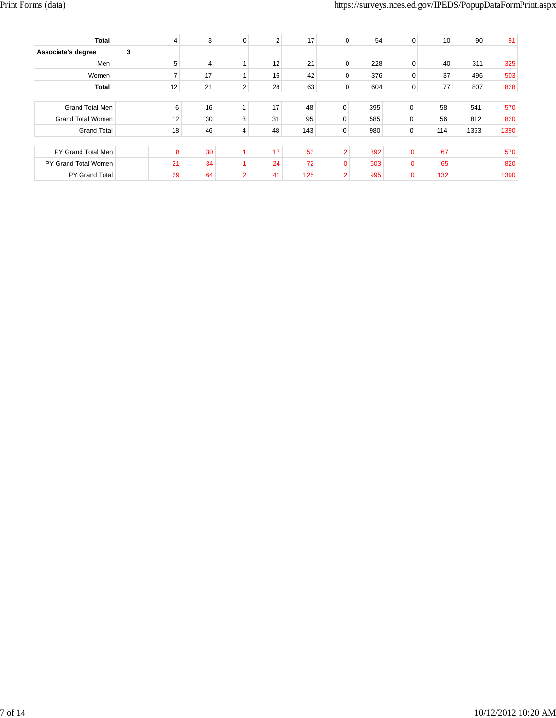| <b>Total</b>             | 4  | 3  | $\mathbf 0$    | $\overline{2}$ | 17  | $\Omega$       | 54  | $\Omega$     | 10  | 90   | 91   |
|--------------------------|----|----|----------------|----------------|-----|----------------|-----|--------------|-----|------|------|
| Associate's degree       | 3  |    |                |                |     |                |     |              |     |      |      |
| Men                      | 5  | 4  |                | 12             | 21  | 0              | 228 | 0            | 40  | 311  | 325  |
| Women                    |    | 17 |                | 16             | 42  | $\Omega$       | 376 | 0            | 37  | 496  | 503  |
| Total                    | 12 | 21 | $\overline{2}$ | 28             | 63  | $\mathbf{0}$   | 604 | 0            | 77  | 807  | 828  |
|                          |    |    |                |                |     |                |     |              |     |      |      |
| Grand Total Men          | 6  | 16 | 1              | 17             | 48  | $\mathbf 0$    | 395 | $\mathbf 0$  | 58  | 541  | 570  |
| <b>Grand Total Women</b> | 12 | 30 | 3              | 31             | 95  | $\Omega$       | 585 | $\mathbf{0}$ | 56  | 812  | 820  |
| <b>Grand Total</b>       | 18 | 46 | 4              | 48             | 143 | 0              | 980 | 0            | 114 | 1353 | 1390 |
|                          |    |    |                |                |     |                |     |              |     |      |      |
| PY Grand Total Men       | 8  | 30 |                | 17             | 53  | $\overline{2}$ | 392 | $\Omega$     | 67  |      | 570  |
| PY Grand Total Women     | 21 | 34 |                | 24             | 72  | 0              | 603 | $\Omega$     | 65  |      | 820  |
| PY Grand Total           | 29 | 64 | $\overline{2}$ | 41             | 125 | $\overline{2}$ | 995 | $\mathbf 0$  | 132 |      | 1390 |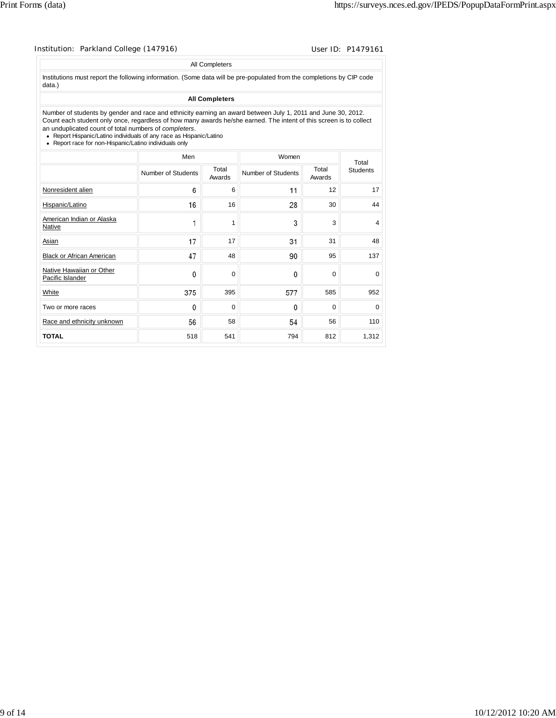### Institution: Parkland College (147916) Contract College (147916)

#### All Completers

Institutions must report the following information. (Some data will be pre-populated from the completions by CIP code data.)

### **All Completers**

Number of students by gender and race and ethnicity earning an award between July 1, 2011 and June 30, 2012. Count each student only once, regardless of how many awards he/she earned. The intent of this screen is to collect an unduplicated count of total numbers of *completers*.

Report Hispanic/Latino individuals of any race as Hispanic/Latino Report race for non-Hispanic/Latino individuals only

| <b>INCOURT ROOT TOT FIGURE INCOUNTS LATER IN INTERNATION IN THE TERM</b> |                    |                 |                    |                 |                 |
|--------------------------------------------------------------------------|--------------------|-----------------|--------------------|-----------------|-----------------|
|                                                                          | Men                |                 | Women              |                 | Total           |
|                                                                          | Number of Students | Total<br>Awards | Number of Students | Total<br>Awards | <b>Students</b> |
| Nonresident alien                                                        | 6                  | 6               | 11                 | 12              | 17              |
| Hispanic/Latino                                                          | 16                 | 16              | 28                 | 30              | 44              |
| American Indian or Alaska<br>Native                                      | 1                  | 1               | 3                  | 3               | $\overline{4}$  |
| Asian                                                                    | 17                 | 17              | 31                 | 31              | 48              |
| <b>Black or African American</b>                                         | 47                 | 48              | 90                 | 95              | 137             |
| Native Hawaiian or Other<br>Pacific Islander                             | 0                  | 0               | $\Omega$           | 0               | $\Omega$        |
| White                                                                    | 375                | 395             | 577                | 585             | 952             |
| Two or more races                                                        | $\mathbf{0}$       | 0               | 0                  | $\mathbf 0$     | 0               |
| Race and ethnicity unknown                                               | 56                 | 58              | 54                 | 56              | 110             |
| <b>TOTAL</b>                                                             | 518                | 541             | 794                | 812             | 1,312           |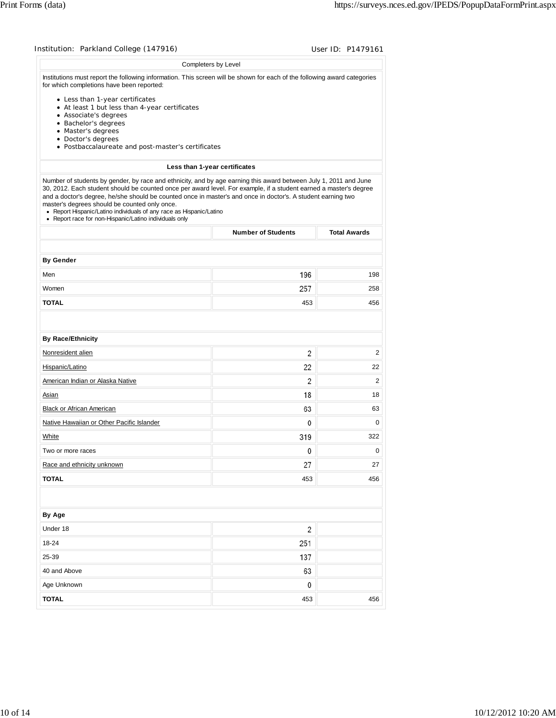| Institution: Parkland College (147916)                                                                                                                                                                                                                                                                                                                                                                                                                                                                                                  |                               | User ID: P1479161   |
|-----------------------------------------------------------------------------------------------------------------------------------------------------------------------------------------------------------------------------------------------------------------------------------------------------------------------------------------------------------------------------------------------------------------------------------------------------------------------------------------------------------------------------------------|-------------------------------|---------------------|
|                                                                                                                                                                                                                                                                                                                                                                                                                                                                                                                                         | Completers by Level           |                     |
| Institutions must report the following information. This screen will be shown for each of the following award categories<br>for which completions have been reported:                                                                                                                                                                                                                                                                                                                                                                   |                               |                     |
| • Less than 1-year certificates<br>• At least 1 but less than 4-year certificates<br>• Associate's degrees<br>• Bachelor's degrees<br>• Master's degrees                                                                                                                                                                                                                                                                                                                                                                                |                               |                     |
| • Doctor's degrees<br>• Postbaccalaureate and post-master's certificates                                                                                                                                                                                                                                                                                                                                                                                                                                                                |                               |                     |
|                                                                                                                                                                                                                                                                                                                                                                                                                                                                                                                                         | Less than 1-year certificates |                     |
| Number of students by gender, by race and ethnicity, and by age earning this award between July 1, 2011 and June<br>30, 2012. Each student should be counted once per award level. For example, if a student earned a master's degree<br>and a doctor's degree, he/she should be counted once in master's and once in doctor's. A student earning two<br>master's degrees should be counted only once.<br>• Report Hispanic/Latino individuals of any race as Hispanic/Latino<br>• Report race for non-Hispanic/Latino individuals only |                               |                     |
|                                                                                                                                                                                                                                                                                                                                                                                                                                                                                                                                         | <b>Number of Students</b>     | <b>Total Awards</b> |
|                                                                                                                                                                                                                                                                                                                                                                                                                                                                                                                                         |                               |                     |
| <b>By Gender</b>                                                                                                                                                                                                                                                                                                                                                                                                                                                                                                                        |                               |                     |
| Men                                                                                                                                                                                                                                                                                                                                                                                                                                                                                                                                     | 196                           | 198                 |
| Women                                                                                                                                                                                                                                                                                                                                                                                                                                                                                                                                   | 257                           | 258                 |
| <b>TOTAL</b>                                                                                                                                                                                                                                                                                                                                                                                                                                                                                                                            | 453                           | 456                 |
| <b>By Race/Ethnicity</b>                                                                                                                                                                                                                                                                                                                                                                                                                                                                                                                |                               |                     |
| Nonresident alien                                                                                                                                                                                                                                                                                                                                                                                                                                                                                                                       | 2                             | 2                   |
| Hispanic/Latino                                                                                                                                                                                                                                                                                                                                                                                                                                                                                                                         | 22                            | 22                  |
| American Indian or Alaska Native                                                                                                                                                                                                                                                                                                                                                                                                                                                                                                        | 2                             | 2                   |
| Asian                                                                                                                                                                                                                                                                                                                                                                                                                                                                                                                                   | 18                            | 18                  |
| Black or African American                                                                                                                                                                                                                                                                                                                                                                                                                                                                                                               | 63                            | 63                  |
| Native Hawaiian or Other Pacific Islander                                                                                                                                                                                                                                                                                                                                                                                                                                                                                               | 0                             | 0                   |
| White                                                                                                                                                                                                                                                                                                                                                                                                                                                                                                                                   | 319                           | 322                 |
| Two or more races                                                                                                                                                                                                                                                                                                                                                                                                                                                                                                                       | 0                             | 0                   |
| Race and ethnicity unknown                                                                                                                                                                                                                                                                                                                                                                                                                                                                                                              | 27                            | 27                  |
| <b>TOTAL</b>                                                                                                                                                                                                                                                                                                                                                                                                                                                                                                                            | 453                           | 456                 |
|                                                                                                                                                                                                                                                                                                                                                                                                                                                                                                                                         |                               |                     |
|                                                                                                                                                                                                                                                                                                                                                                                                                                                                                                                                         |                               |                     |
| By Age                                                                                                                                                                                                                                                                                                                                                                                                                                                                                                                                  |                               |                     |
| Under 18                                                                                                                                                                                                                                                                                                                                                                                                                                                                                                                                | $\overline{c}$                |                     |
| 18-24                                                                                                                                                                                                                                                                                                                                                                                                                                                                                                                                   | 251                           |                     |
| 25-39                                                                                                                                                                                                                                                                                                                                                                                                                                                                                                                                   | 137                           |                     |
| 40 and Above                                                                                                                                                                                                                                                                                                                                                                                                                                                                                                                            | 63                            |                     |
| Age Unknown                                                                                                                                                                                                                                                                                                                                                                                                                                                                                                                             | 0                             |                     |
| <b>TOTAL</b>                                                                                                                                                                                                                                                                                                                                                                                                                                                                                                                            | 453                           | 456                 |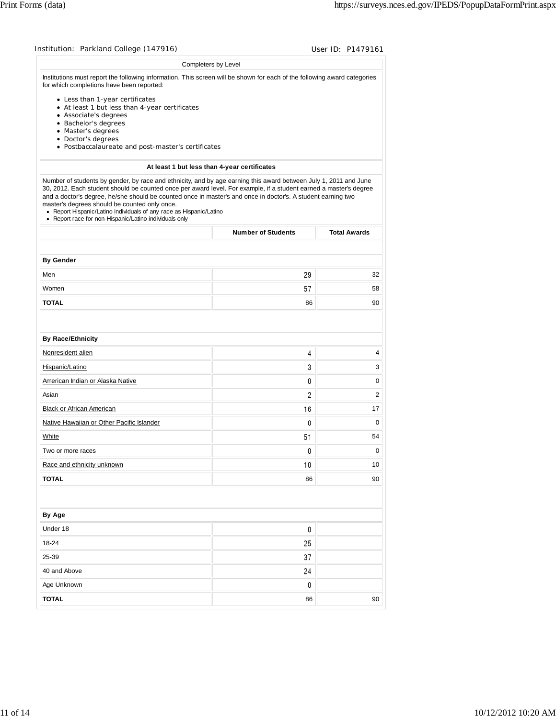| Institution: Parkland College (147916)                                                                                                                                                                                                                                                                                                                                                                                                                                                                                                  |                                              | User ID: P1479161   |
|-----------------------------------------------------------------------------------------------------------------------------------------------------------------------------------------------------------------------------------------------------------------------------------------------------------------------------------------------------------------------------------------------------------------------------------------------------------------------------------------------------------------------------------------|----------------------------------------------|---------------------|
|                                                                                                                                                                                                                                                                                                                                                                                                                                                                                                                                         | Completers by Level                          |                     |
| Institutions must report the following information. This screen will be shown for each of the following award categories<br>for which completions have been reported:                                                                                                                                                                                                                                                                                                                                                                   |                                              |                     |
| • Less than 1-year certificates<br>• At least 1 but less than 4-year certificates                                                                                                                                                                                                                                                                                                                                                                                                                                                       |                                              |                     |
| • Associate's degrees                                                                                                                                                                                                                                                                                                                                                                                                                                                                                                                   |                                              |                     |
| · Bachelor's degrees                                                                                                                                                                                                                                                                                                                                                                                                                                                                                                                    |                                              |                     |
| • Master's degrees<br>• Doctor's degrees                                                                                                                                                                                                                                                                                                                                                                                                                                                                                                |                                              |                     |
| • Postbaccalaureate and post-master's certificates                                                                                                                                                                                                                                                                                                                                                                                                                                                                                      |                                              |                     |
|                                                                                                                                                                                                                                                                                                                                                                                                                                                                                                                                         | At least 1 but less than 4-year certificates |                     |
| Number of students by gender, by race and ethnicity, and by age earning this award between July 1, 2011 and June<br>30, 2012. Each student should be counted once per award level. For example, if a student earned a master's degree<br>and a doctor's degree, he/she should be counted once in master's and once in doctor's. A student earning two<br>master's degrees should be counted only once.<br>• Report Hispanic/Latino individuals of any race as Hispanic/Latino<br>• Report race for non-Hispanic/Latino individuals only |                                              |                     |
|                                                                                                                                                                                                                                                                                                                                                                                                                                                                                                                                         | <b>Number of Students</b>                    | <b>Total Awards</b> |
|                                                                                                                                                                                                                                                                                                                                                                                                                                                                                                                                         |                                              |                     |
| <b>By Gender</b>                                                                                                                                                                                                                                                                                                                                                                                                                                                                                                                        |                                              |                     |
| Men                                                                                                                                                                                                                                                                                                                                                                                                                                                                                                                                     | 29                                           | 32                  |
| Women                                                                                                                                                                                                                                                                                                                                                                                                                                                                                                                                   | 57                                           | 58                  |
| <b>TOTAL</b>                                                                                                                                                                                                                                                                                                                                                                                                                                                                                                                            | 86                                           | 90                  |
|                                                                                                                                                                                                                                                                                                                                                                                                                                                                                                                                         |                                              |                     |
| <b>By Race/Ethnicity</b>                                                                                                                                                                                                                                                                                                                                                                                                                                                                                                                |                                              |                     |
| Nonresident alien                                                                                                                                                                                                                                                                                                                                                                                                                                                                                                                       | 4                                            | 4                   |
| Hispanic/Latino                                                                                                                                                                                                                                                                                                                                                                                                                                                                                                                         | 3                                            | 3                   |
| American Indian or Alaska Native                                                                                                                                                                                                                                                                                                                                                                                                                                                                                                        | 0                                            | 0                   |
| Asian                                                                                                                                                                                                                                                                                                                                                                                                                                                                                                                                   | 2                                            | 2                   |
| Black or African American                                                                                                                                                                                                                                                                                                                                                                                                                                                                                                               | 16                                           | 17                  |
| Native Hawaiian or Other Pacific Islander                                                                                                                                                                                                                                                                                                                                                                                                                                                                                               | 0                                            | 0                   |
| White                                                                                                                                                                                                                                                                                                                                                                                                                                                                                                                                   | 51                                           | 54                  |
| I wo or more races                                                                                                                                                                                                                                                                                                                                                                                                                                                                                                                      | 0                                            | 0                   |
| Race and ethnicity unknown                                                                                                                                                                                                                                                                                                                                                                                                                                                                                                              | 10                                           | 10                  |
| <b>TOTAL</b>                                                                                                                                                                                                                                                                                                                                                                                                                                                                                                                            | 86                                           | 90                  |
|                                                                                                                                                                                                                                                                                                                                                                                                                                                                                                                                         |                                              |                     |
|                                                                                                                                                                                                                                                                                                                                                                                                                                                                                                                                         |                                              |                     |
| By Age                                                                                                                                                                                                                                                                                                                                                                                                                                                                                                                                  |                                              |                     |
| Under 18                                                                                                                                                                                                                                                                                                                                                                                                                                                                                                                                | 0                                            |                     |
| 18-24                                                                                                                                                                                                                                                                                                                                                                                                                                                                                                                                   | 25                                           |                     |
| 25-39                                                                                                                                                                                                                                                                                                                                                                                                                                                                                                                                   | 37                                           |                     |
| 40 and Above                                                                                                                                                                                                                                                                                                                                                                                                                                                                                                                            | 24                                           |                     |
| Age Unknown                                                                                                                                                                                                                                                                                                                                                                                                                                                                                                                             | 0                                            |                     |
| <b>TOTAL</b>                                                                                                                                                                                                                                                                                                                                                                                                                                                                                                                            | 86                                           | 90                  |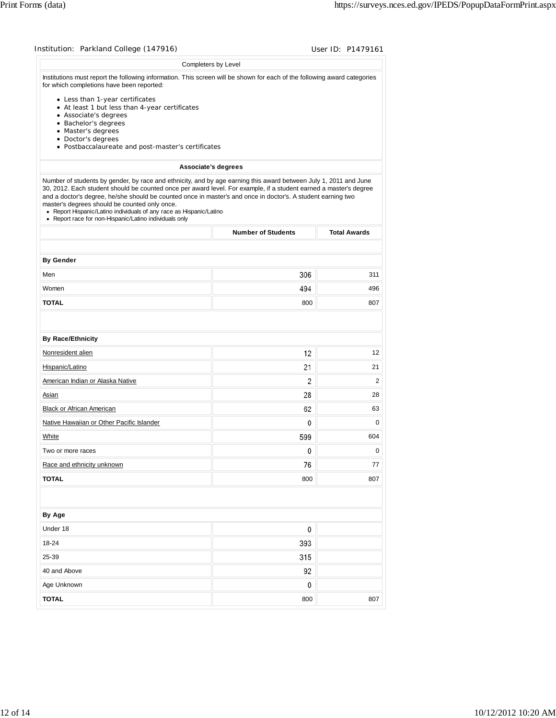| Institution: Parkland College (147916)                                                                                                                                                                                                                                                                                                                                                                                                                                                                                                  |                           | User ID: P1479161   |
|-----------------------------------------------------------------------------------------------------------------------------------------------------------------------------------------------------------------------------------------------------------------------------------------------------------------------------------------------------------------------------------------------------------------------------------------------------------------------------------------------------------------------------------------|---------------------------|---------------------|
| Completers by Level                                                                                                                                                                                                                                                                                                                                                                                                                                                                                                                     |                           |                     |
| Institutions must report the following information. This screen will be shown for each of the following award categories<br>for which completions have been reported:                                                                                                                                                                                                                                                                                                                                                                   |                           |                     |
| • Less than 1-year certificates<br>• At least 1 but less than 4-year certificates<br>• Associate's degrees<br>• Bachelor's degrees                                                                                                                                                                                                                                                                                                                                                                                                      |                           |                     |
| • Master's degrees<br>• Doctor's degrees<br>• Postbaccalaureate and post-master's certificates                                                                                                                                                                                                                                                                                                                                                                                                                                          |                           |                     |
| Associate's degrees                                                                                                                                                                                                                                                                                                                                                                                                                                                                                                                     |                           |                     |
| Number of students by gender, by race and ethnicity, and by age earning this award between July 1, 2011 and June<br>30, 2012. Each student should be counted once per award level. For example, if a student earned a master's degree<br>and a doctor's degree, he/she should be counted once in master's and once in doctor's. A student earning two<br>master's degrees should be counted only once.<br>• Report Hispanic/Latino individuals of any race as Hispanic/Latino<br>• Report race for non-Hispanic/Latino individuals only |                           |                     |
|                                                                                                                                                                                                                                                                                                                                                                                                                                                                                                                                         | <b>Number of Students</b> | <b>Total Awards</b> |
|                                                                                                                                                                                                                                                                                                                                                                                                                                                                                                                                         |                           |                     |
| <b>By Gender</b>                                                                                                                                                                                                                                                                                                                                                                                                                                                                                                                        |                           |                     |
| Men                                                                                                                                                                                                                                                                                                                                                                                                                                                                                                                                     | 306                       | 311                 |
| Women                                                                                                                                                                                                                                                                                                                                                                                                                                                                                                                                   | 494                       | 496                 |
| <b>TOTAL</b>                                                                                                                                                                                                                                                                                                                                                                                                                                                                                                                            | 800                       | 807                 |
| <b>By Race/Ethnicity</b>                                                                                                                                                                                                                                                                                                                                                                                                                                                                                                                |                           |                     |
| Nonresident alien                                                                                                                                                                                                                                                                                                                                                                                                                                                                                                                       | 12                        | 12                  |
| Hispanic/Latino                                                                                                                                                                                                                                                                                                                                                                                                                                                                                                                         | 21                        | 21                  |
| American Indian or Alaska Native                                                                                                                                                                                                                                                                                                                                                                                                                                                                                                        | 2                         | $\overline{2}$      |
| Asian                                                                                                                                                                                                                                                                                                                                                                                                                                                                                                                                   | 28                        | 28                  |
| <b>Black or African American</b>                                                                                                                                                                                                                                                                                                                                                                                                                                                                                                        | 62                        | 63                  |
| Native Hawaiian or Other Pacific Islander                                                                                                                                                                                                                                                                                                                                                                                                                                                                                               | $\mathbf{0}$              | $\mathbf 0$         |
| White                                                                                                                                                                                                                                                                                                                                                                                                                                                                                                                                   | 599                       | 604                 |
| Two or more races                                                                                                                                                                                                                                                                                                                                                                                                                                                                                                                       | $\pmb{0}$                 | 0                   |
| Race and ethnicity unknown                                                                                                                                                                                                                                                                                                                                                                                                                                                                                                              | 76                        | 77                  |
| <b>TOTAL</b>                                                                                                                                                                                                                                                                                                                                                                                                                                                                                                                            | 800                       | 807                 |
|                                                                                                                                                                                                                                                                                                                                                                                                                                                                                                                                         |                           |                     |
| By Age                                                                                                                                                                                                                                                                                                                                                                                                                                                                                                                                  |                           |                     |
| Under 18<br>18-24                                                                                                                                                                                                                                                                                                                                                                                                                                                                                                                       | 0<br>393                  |                     |
| 25-39                                                                                                                                                                                                                                                                                                                                                                                                                                                                                                                                   |                           |                     |
|                                                                                                                                                                                                                                                                                                                                                                                                                                                                                                                                         | 315                       |                     |
| 40 and Above                                                                                                                                                                                                                                                                                                                                                                                                                                                                                                                            | 92<br>0                   |                     |
| Age Unknown                                                                                                                                                                                                                                                                                                                                                                                                                                                                                                                             |                           |                     |
| <b>TOTAL</b>                                                                                                                                                                                                                                                                                                                                                                                                                                                                                                                            | 800                       | 807                 |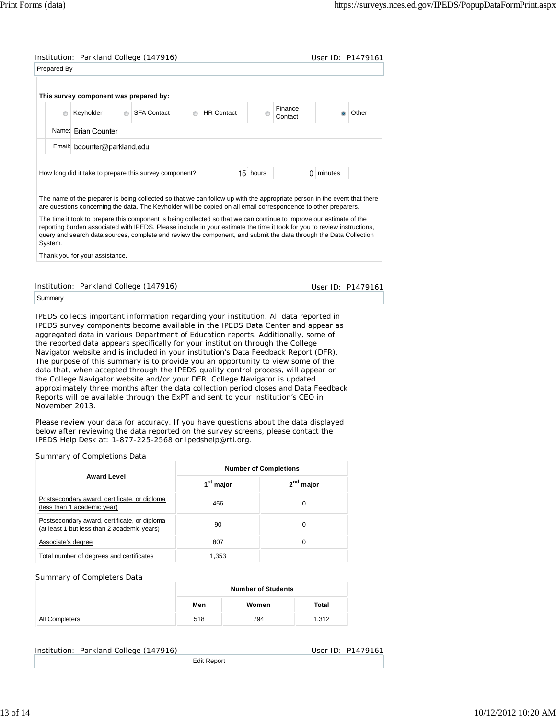| Prepared By |                                        |         | Institution: Parkland College (147916)                                                                                                                                                                                                        |   |                   |          |                    | User ID: P1479161 |       |
|-------------|----------------------------------------|---------|-----------------------------------------------------------------------------------------------------------------------------------------------------------------------------------------------------------------------------------------------|---|-------------------|----------|--------------------|-------------------|-------|
|             |                                        |         |                                                                                                                                                                                                                                               |   |                   |          |                    |                   |       |
|             | This survey component was prepared by: |         |                                                                                                                                                                                                                                               |   |                   |          |                    |                   |       |
| $\odot$     | Keyholder                              | $\odot$ | <b>SFA Contact</b>                                                                                                                                                                                                                            | ⋒ | <b>HR Contact</b> |          | Finance<br>Contact |                   | Other |
|             | Name: Brian Counter                    |         |                                                                                                                                                                                                                                               |   |                   |          |                    |                   |       |
|             | Email: bcounter@parkland.edu           |         |                                                                                                                                                                                                                                               |   |                   |          |                    |                   |       |
|             |                                        |         |                                                                                                                                                                                                                                               |   |                   |          |                    |                   |       |
|             |                                        |         | How long did it take to prepare this survey component?                                                                                                                                                                                        |   |                   | 15 hours | 0                  | minutes           |       |
|             |                                        |         |                                                                                                                                                                                                                                               |   |                   |          |                    |                   |       |
|             |                                        |         | The name of the preparer is being collected so that we can follow up with the appropriate person in the event that there<br>are questions concerning the data. The Keyholder will be copied on all email correspondence to other preparers.   |   |                   |          |                    |                   |       |
|             |                                        |         | The time it took to prepare this component is being collected so that we can continue to improve our estimate of the                                                                                                                          |   |                   |          |                    |                   |       |
|             |                                        |         | reporting burden associated with IPEDS. Please include in your estimate the time it took for you to review instructions,<br>query and search data sources, complete and review the component, and submit the data through the Data Collection |   |                   |          |                    |                   |       |
| System.     |                                        |         |                                                                                                                                                                                                                                               |   |                   |          |                    |                   |       |

Summary

IPEDS collects important information regarding your institution. All data reported in IPEDS survey components become available in the IPEDS Data Center and appear as aggregated data in various Department of Education reports. Additionally, some of the reported data appears specifically for your institution through the College Navigator website and is included in your institution's Data Feedback Report (DFR). The purpose of this summary is to provide you an opportunity to view some of the data that, when accepted through the IPEDS quality control process, will appear on the College Navigator website and/or your DFR. College Navigator is updated approximately three months after the data collection period closes and Data Feedback Reports will be available through the ExPT and sent to your institution's CEO in November 2013.

Please review your data for accuracy. If you have questions about the data displayed below after reviewing the data reported on the survey screens, please contact the IPEDS Help Desk at: 1-877-225-2568 or ipedshelp@rti.org.

Summary of Completions Data

|                                                                                             | <b>Number of Completions</b> |                       |  |  |
|---------------------------------------------------------------------------------------------|------------------------------|-----------------------|--|--|
| <b>Award Level</b>                                                                          | 1 <sup>st</sup> major        | 2 <sup>nd</sup> major |  |  |
| Postsecondary award, certificate, or diploma<br>(less than 1 academic year)                 | 456                          | 0                     |  |  |
| Postsecondary award, certificate, or diploma<br>(at least 1 but less than 2 academic years) | 90                           | 0                     |  |  |
| Associate's degree                                                                          | 807                          | 0                     |  |  |
| Total number of degrees and certificates                                                    | 1,353                        |                       |  |  |

Summary of Completers Data

|                | <b>Number of Students</b> |       |       |  |  |
|----------------|---------------------------|-------|-------|--|--|
|                | Men                       | Women | Total |  |  |
| All Completers | 518                       | 794   | 1,312 |  |  |

Edit Report

Institution: Parkland College (147916) November 2012 10: P1479161